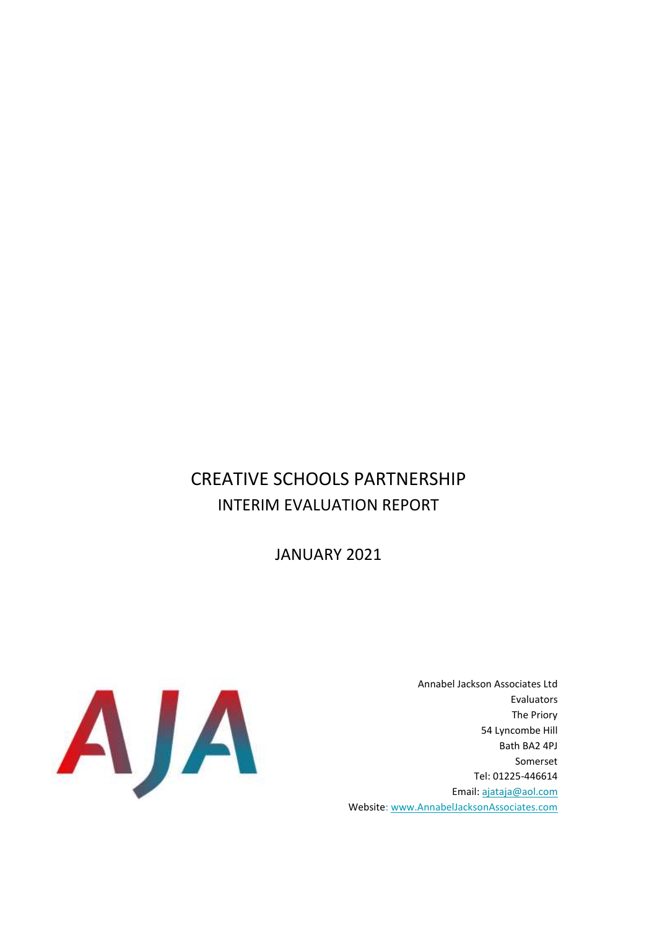# CREATIVE SCHOOLS PARTNERSHIP INTERIM EVALUATION REPORT

JANUARY 2021



Annabel Jackson Associates Ltd Evaluators The Priory 54 Lyncombe Hill Bath BA2 4PJ Somerset Tel: 01225-446614 Email: [ajataja@aol.com](mailto:ajataja@aol.com) Website[: www.AnnabelJacksonAssociates.com](http://www.annabeljacksonassociates.com/)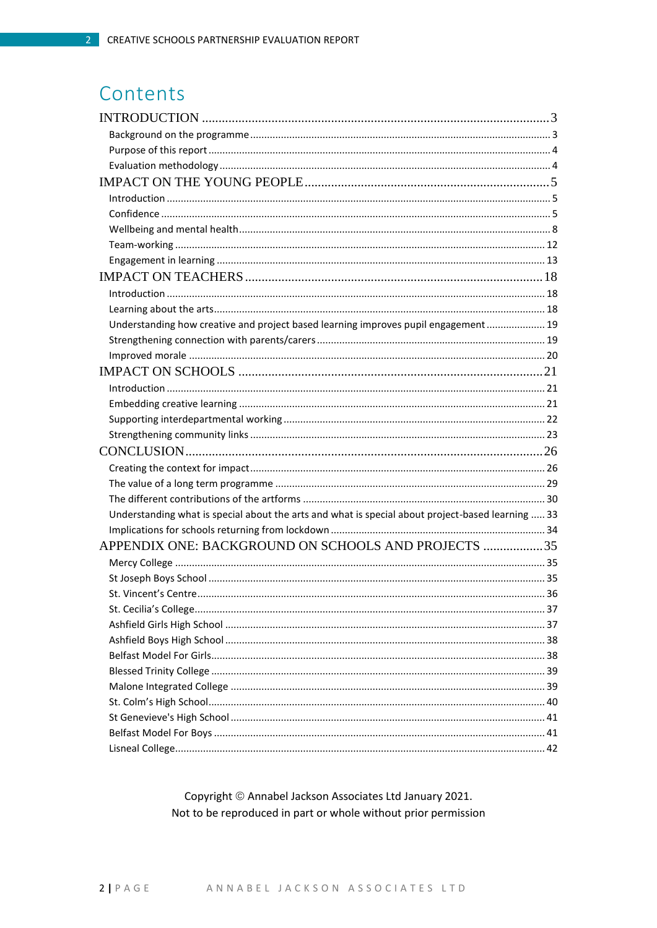# Contents

| Understanding how creative and project based learning improves pupil engagement  19               |  |
|---------------------------------------------------------------------------------------------------|--|
|                                                                                                   |  |
|                                                                                                   |  |
|                                                                                                   |  |
|                                                                                                   |  |
|                                                                                                   |  |
|                                                                                                   |  |
|                                                                                                   |  |
|                                                                                                   |  |
|                                                                                                   |  |
|                                                                                                   |  |
|                                                                                                   |  |
| Understanding what is special about the arts and what is special about project-based learning  33 |  |
|                                                                                                   |  |
| APPENDIX ONE: BACKGROUND ON SCHOOLS AND PROJECTS 35                                               |  |
|                                                                                                   |  |
|                                                                                                   |  |
|                                                                                                   |  |
|                                                                                                   |  |
|                                                                                                   |  |
|                                                                                                   |  |
|                                                                                                   |  |
|                                                                                                   |  |
|                                                                                                   |  |
|                                                                                                   |  |
|                                                                                                   |  |
|                                                                                                   |  |
|                                                                                                   |  |

Copyright © Annabel Jackson Associates Ltd January 2021. Not to be reproduced in part or whole without prior permission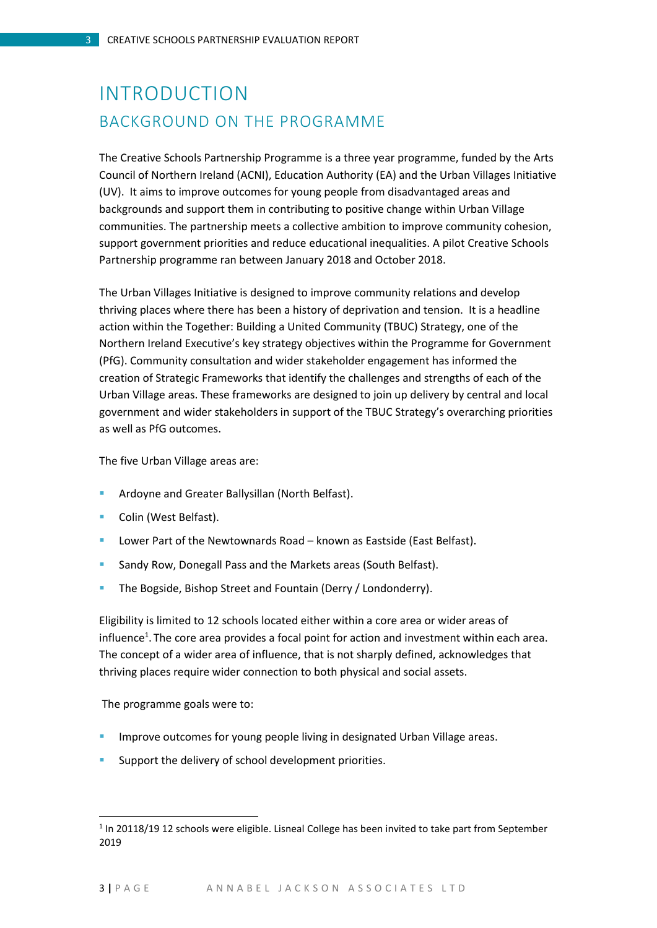# <span id="page-2-1"></span><span id="page-2-0"></span>INTRODUCTION BACKGROUND ON THE PROGRAMME

The Creative Schools Partnership Programme is a three year programme, funded by the Arts Council of Northern Ireland (ACNI), Education Authority (EA) and the Urban Villages Initiative (UV). It aims to improve outcomes for young people from disadvantaged areas and backgrounds and support them in contributing to positive change within Urban Village communities. The partnership meets a collective ambition to improve community cohesion, support government priorities and reduce educational inequalities. A pilot Creative Schools Partnership programme ran between January 2018 and October 2018.

The Urban Villages Initiative is designed to improve community relations and develop thriving places where there has been a history of deprivation and tension. It is a headline action within the Together: Building a United Community (TBUC) Strategy, one of the Northern Ireland Executive's key strategy objectives within the Programme for Government (PfG). Community consultation and wider stakeholder engagement has informed the creation of Strategic Frameworks that identify the challenges and strengths of each of the Urban Village areas. These frameworks are designed to join up delivery by central and local government and wider stakeholders in support of the TBUC Strategy's overarching priorities as well as PfG outcomes.

The five Urban Village areas are:

- Ardoyne and Greater Ballysillan (North Belfast).
- **Colin (West Belfast).**
- Lower Part of the Newtownards Road known as Eastside (East Belfast).
- **Sandy Row, Donegall Pass and the Markets areas (South Belfast).**
- **The Bogside, Bishop Street and Fountain (Derry / Londonderry).**

Eligibility is limited to 12 schools located either within a core area or wider areas of influence<sup>1</sup>. The core area provides a focal point for action and investment within each area. The concept of a wider area of influence, that is not sharply defined, acknowledges that thriving places require wider connection to both physical and social assets.

The programme goals were to:

 $\overline{a}$ 

- Improve outcomes for young people living in designated Urban Village areas.
- **Support the delivery of school development priorities.**

<sup>&</sup>lt;sup>1</sup> In 20118/19 12 schools were eligible. Lisneal College has been invited to take part from September 2019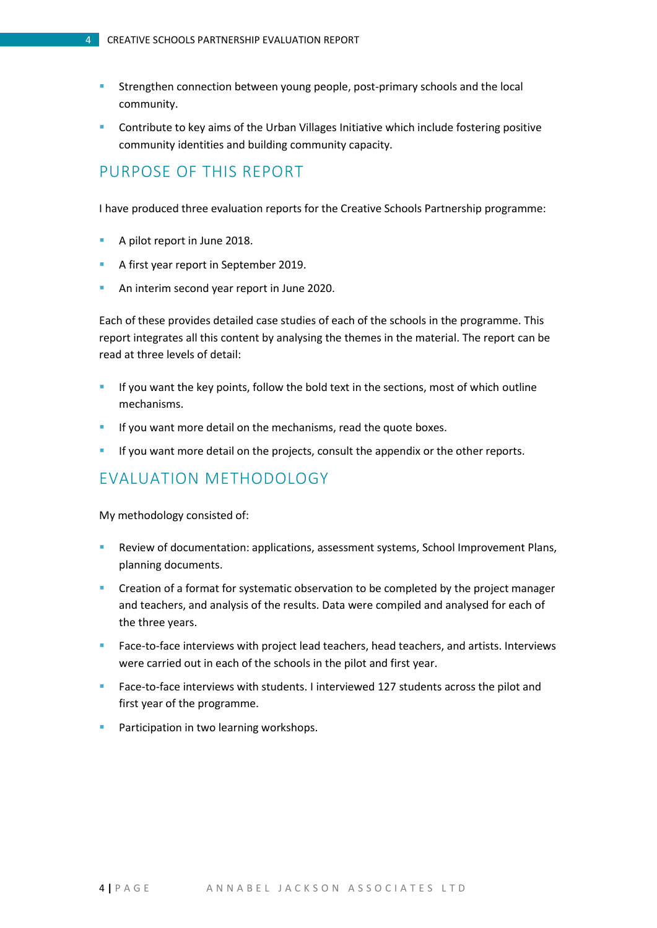- **Strengthen connection between young people, post-primary schools and the local** community.
- **Contribute to key aims of the Urban Villages Initiative which include fostering positive** community identities and building community capacity.

### <span id="page-3-0"></span>PURPOSE OF THIS REPORT

I have produced three evaluation reports for the Creative Schools Partnership programme:

- A pilot report in June 2018.
- A first year report in September 2019.
- An interim second year report in June 2020.

Each of these provides detailed case studies of each of the schools in the programme. This report integrates all this content by analysing the themes in the material. The report can be read at three levels of detail:

- If you want the key points, follow the bold text in the sections, most of which outline mechanisms.
- **If you want more detail on the mechanisms, read the quote boxes.**
- If you want more detail on the projects, consult the appendix or the other reports.

## <span id="page-3-1"></span>EVALUATION METHODOLOGY

My methodology consisted of:

- Review of documentation: applications, assessment systems, School Improvement Plans, planning documents.
- **Creation of a format for systematic observation to be completed by the project manager** and teachers, and analysis of the results. Data were compiled and analysed for each of the three years.
- **Face-to-face interviews with project lead teachers, head teachers, and artists. Interviews** were carried out in each of the schools in the pilot and first year.
- **Face-to-face interviews with students. I interviewed 127 students across the pilot and** first year of the programme.
- Participation in two learning workshops.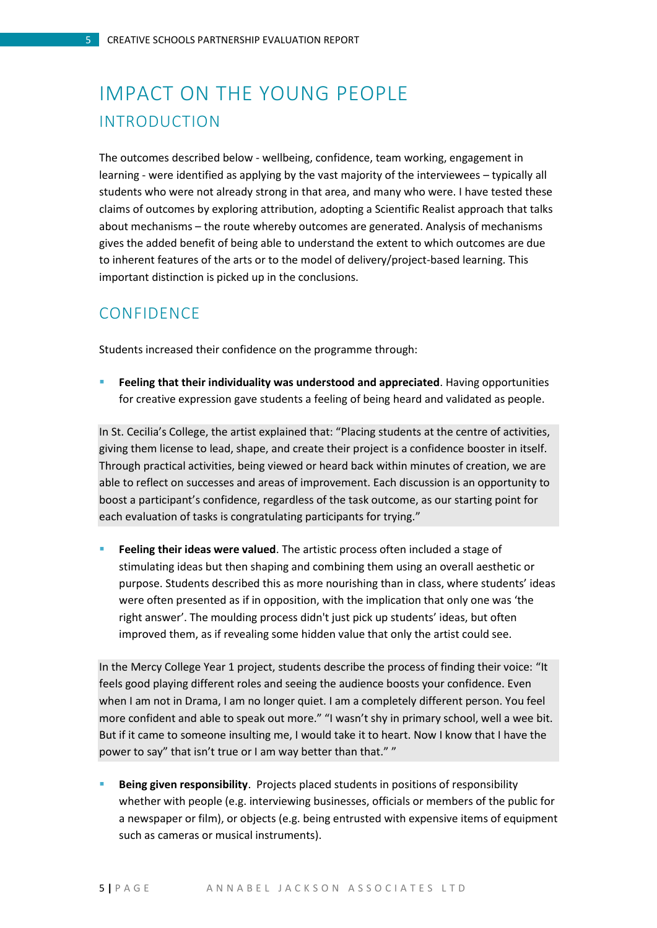# <span id="page-4-1"></span><span id="page-4-0"></span>IMPACT ON THE YOUNG PEOPLE INTRODUCTION

The outcomes described below - wellbeing, confidence, team working, engagement in learning - were identified as applying by the vast majority of the interviewees – typically all students who were not already strong in that area, and many who were. I have tested these claims of outcomes by exploring attribution, adopting a Scientific Realist approach that talks about mechanisms – the route whereby outcomes are generated. Analysis of mechanisms gives the added benefit of being able to understand the extent to which outcomes are due to inherent features of the arts or to the model of delivery/project-based learning. This important distinction is picked up in the conclusions.

### <span id="page-4-2"></span>CONFIDENCE

Students increased their confidence on the programme through:

 **Feeling that their individuality was understood and appreciated**. Having opportunities for creative expression gave students a feeling of being heard and validated as people.

In St. Cecilia's College, the artist explained that: "Placing students at the centre of activities, giving them license to lead, shape, and create their project is a confidence booster in itself. Through practical activities, being viewed or heard back within minutes of creation, we are able to reflect on successes and areas of improvement. Each discussion is an opportunity to boost a participant's confidence, regardless of the task outcome, as our starting point for each evaluation of tasks is congratulating participants for trying."

**Feeling their ideas were valued**. The artistic process often included a stage of stimulating ideas but then shaping and combining them using an overall aesthetic or purpose. Students described this as more nourishing than in class, where students' ideas were often presented as if in opposition, with the implication that only one was 'the right answer'. The moulding process didn't just pick up students' ideas, but often improved them, as if revealing some hidden value that only the artist could see.

In the Mercy College Year 1 project, students describe the process of finding their voice: "It feels good playing different roles and seeing the audience boosts your confidence. Even when I am not in Drama, I am no longer quiet. I am a completely different person. You feel more confident and able to speak out more." "I wasn't shy in primary school, well a wee bit. But if it came to someone insulting me, I would take it to heart. Now I know that I have the power to say" that isn't true or I am way better than that." "

 **Being given responsibility**. Projects placed students in positions of responsibility whether with people (e.g. interviewing businesses, officials or members of the public for a newspaper or film), or objects (e.g. being entrusted with expensive items of equipment such as cameras or musical instruments).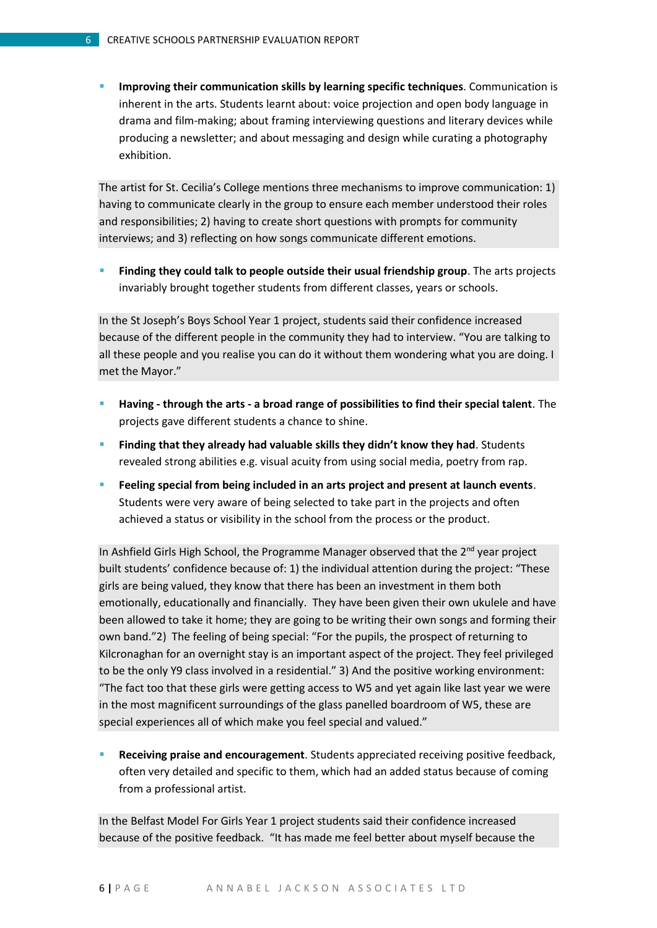**Improving their communication skills by learning specific techniques**. Communication is inherent in the arts. Students learnt about: voice projection and open body language in drama and film-making; about framing interviewing questions and literary devices while producing a newsletter; and about messaging and design while curating a photography exhibition.

The artist for St. Cecilia's College mentions three mechanisms to improve communication: 1) having to communicate clearly in the group to ensure each member understood their roles and responsibilities; 2) having to create short questions with prompts for community interviews; and 3) reflecting on how songs communicate different emotions.

 **Finding they could talk to people outside their usual friendship group**. The arts projects invariably brought together students from different classes, years or schools.

In the St Joseph's Boys School Year 1 project, students said their confidence increased because of the different people in the community they had to interview. "You are talking to all these people and you realise you can do it without them wondering what you are doing. I met the Mayor."

- **Having - through the arts - a broad range of possibilities to find their special talent**. The projects gave different students a chance to shine.
- **Finding that they already had valuable skills they didn't know they had**. Students revealed strong abilities e.g. visual acuity from using social media, poetry from rap.
- **Feeling special from being included in an arts project and present at launch events**. Students were very aware of being selected to take part in the projects and often achieved a status or visibility in the school from the process or the product.

In Ashfield Girls High School, the Programme Manager observed that the 2<sup>nd</sup> year project built students' confidence because of: 1) the individual attention during the project: "These girls are being valued, they know that there has been an investment in them both emotionally, educationally and financially. They have been given their own ukulele and have been allowed to take it home; they are going to be writing their own songs and forming their own band."2) The feeling of being special: "For the pupils, the prospect of returning to Kilcronaghan for an overnight stay is an important aspect of the project. They feel privileged to be the only Y9 class involved in a residential." 3) And the positive working environment: "The fact too that these girls were getting access to W5 and yet again like last year we were in the most magnificent surroundings of the glass panelled boardroom of W5, these are special experiences all of which make you feel special and valued."

 **Receiving praise and encouragement**. Students appreciated receiving positive feedback, often very detailed and specific to them, which had an added status because of coming from a professional artist.

In the Belfast Model For Girls Year 1 project students said their confidence increased because of the positive feedback. "It has made me feel better about myself because the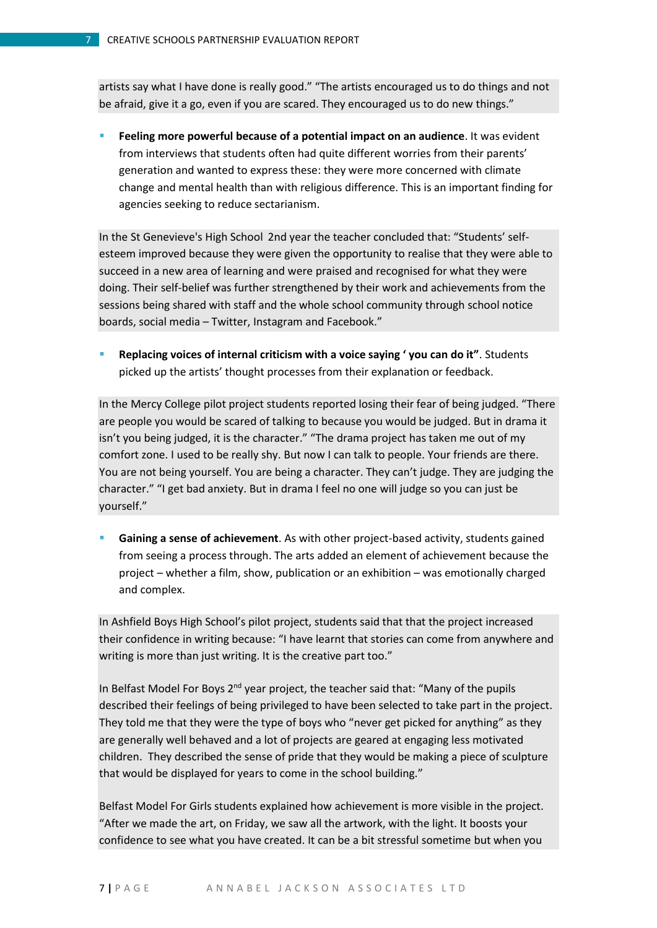artists say what I have done is really good." "The artists encouraged us to do things and not be afraid, give it a go, even if you are scared. They encouraged us to do new things."

**Feeling more powerful because of a potential impact on an audience**. It was evident from interviews that students often had quite different worries from their parents' generation and wanted to express these: they were more concerned with climate change and mental health than with religious difference. This is an important finding for agencies seeking to reduce sectarianism.

In the St Genevieve's High School 2nd year the teacher concluded that: "Students' selfesteem improved because they were given the opportunity to realise that they were able to succeed in a new area of learning and were praised and recognised for what they were doing. Their self-belief was further strengthened by their work and achievements from the sessions being shared with staff and the whole school community through school notice boards, social media – Twitter, Instagram and Facebook."

 **Replacing voices of internal criticism with a voice saying ' you can do it"**. Students picked up the artists' thought processes from their explanation or feedback.

In the Mercy College pilot project students reported losing their fear of being judged. "There are people you would be scared of talking to because you would be judged. But in drama it isn't you being judged, it is the character." "The drama project has taken me out of my comfort zone. I used to be really shy. But now I can talk to people. Your friends are there. You are not being yourself. You are being a character. They can't judge. They are judging the character." "I get bad anxiety. But in drama I feel no one will judge so you can just be yourself."

 **Gaining a sense of achievement**. As with other project-based activity, students gained from seeing a process through. The arts added an element of achievement because the project – whether a film, show, publication or an exhibition – was emotionally charged and complex.

In Ashfield Boys High School's pilot project, students said that that the project increased their confidence in writing because: "I have learnt that stories can come from anywhere and writing is more than just writing. It is the creative part too."

In Belfast Model For Boys  $2<sup>nd</sup>$  year project, the teacher said that: "Many of the pupils described their feelings of being privileged to have been selected to take part in the project. They told me that they were the type of boys who "never get picked for anything" as they are generally well behaved and a lot of projects are geared at engaging less motivated children. They described the sense of pride that they would be making a piece of sculpture that would be displayed for years to come in the school building."

Belfast Model For Girls students explained how achievement is more visible in the project. "After we made the art, on Friday, we saw all the artwork, with the light. It boosts your confidence to see what you have created. It can be a bit stressful sometime but when you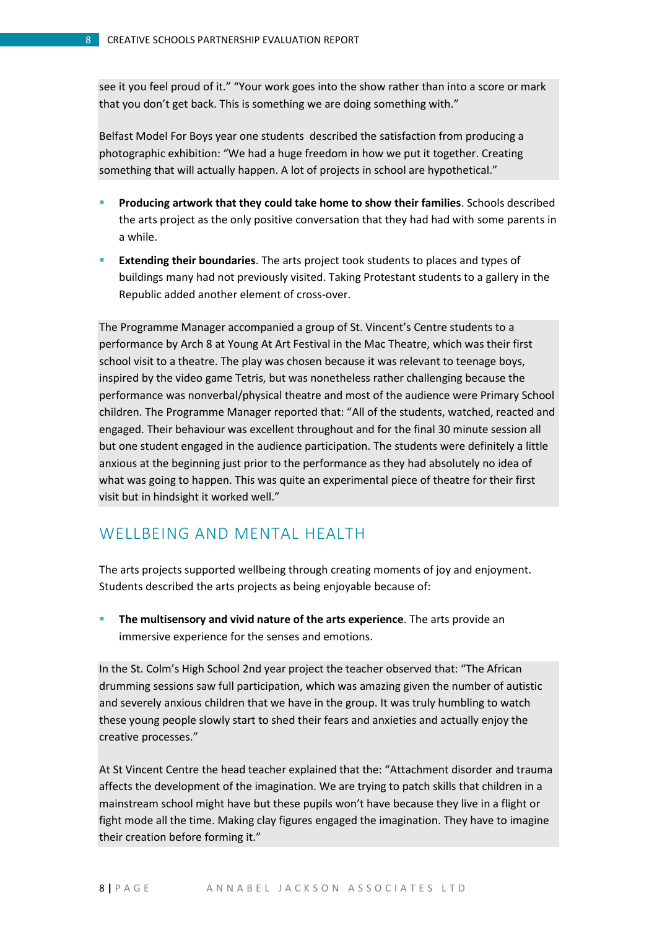see it you feel proud of it." "Your work goes into the show rather than into a score or mark that you don't get back. This is something we are doing something with."

Belfast Model For Boys year one students described the satisfaction from producing a photographic exhibition: "We had a huge freedom in how we put it together. Creating something that will actually happen. A lot of projects in school are hypothetical."

- **Producing artwork that they could take home to show their families**. Schools described the arts project as the only positive conversation that they had had with some parents in a while.
- **Extending their boundaries**. The arts project took students to places and types of buildings many had not previously visited. Taking Protestant students to a gallery in the Republic added another element of cross-over.

The Programme Manager accompanied a group of St. Vincent's Centre students to a performance by Arch 8 at Young At Art Festival in the Mac Theatre, which was their first school visit to a theatre. The play was chosen because it was relevant to teenage boys, inspired by the video game Tetris, but was nonetheless rather challenging because the performance was nonverbal/physical theatre and most of the audience were Primary School children. The Programme Manager reported that: "All of the students, watched, reacted and engaged. Their behaviour was excellent throughout and for the final 30 minute session all but one student engaged in the audience participation. The students were definitely a little anxious at the beginning just prior to the performance as they had absolutely no idea of what was going to happen. This was quite an experimental piece of theatre for their first visit but in hindsight it worked well."

## <span id="page-7-0"></span>WELLBEING AND MENTAL HEALTH

The arts projects supported wellbeing through creating moments of joy and enjoyment. Students described the arts projects as being enjoyable because of:

 **The multisensory and vivid nature of the arts experience**. The arts provide an immersive experience for the senses and emotions.

In the St. Colm's High School 2nd year project the teacher observed that: "The African drumming sessions saw full participation, which was amazing given the number of autistic and severely anxious children that we have in the group. It was truly humbling to watch these young people slowly start to shed their fears and anxieties and actually enjoy the creative processes."

At St Vincent Centre the head teacher explained that the: "Attachment disorder and trauma affects the development of the imagination. We are trying to patch skills that children in a mainstream school might have but these pupils won't have because they live in a flight or fight mode all the time. Making clay figures engaged the imagination. They have to imagine their creation before forming it."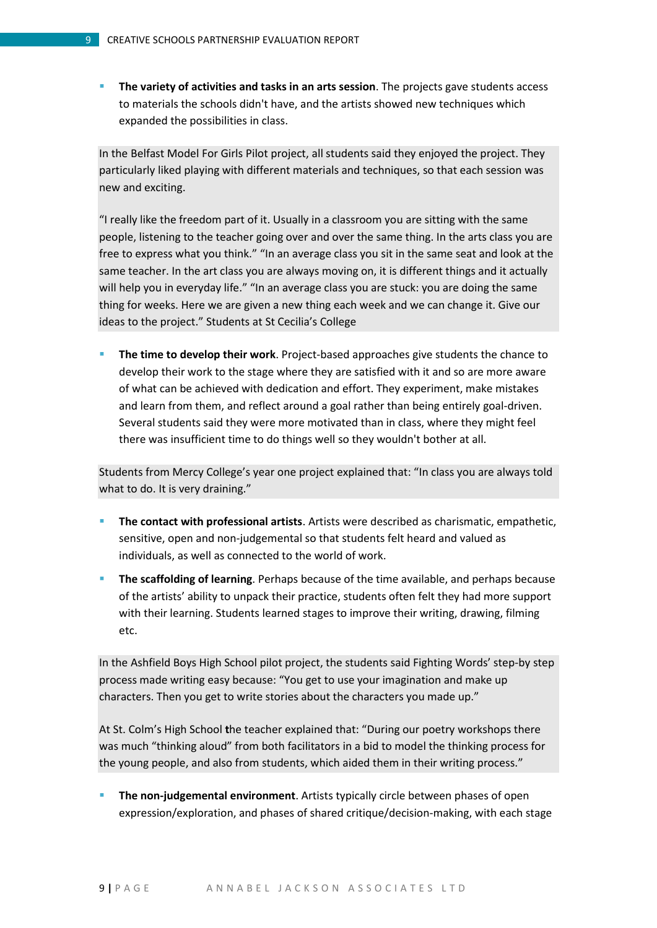**The variety of activities and tasks in an arts session**. The projects gave students access to materials the schools didn't have, and the artists showed new techniques which expanded the possibilities in class.

In the Belfast Model For Girls Pilot project, all students said they enjoyed the project. They particularly liked playing with different materials and techniques, so that each session was new and exciting.

"I really like the freedom part of it. Usually in a classroom you are sitting with the same people, listening to the teacher going over and over the same thing. In the arts class you are free to express what you think." "In an average class you sit in the same seat and look at the same teacher. In the art class you are always moving on, it is different things and it actually will help you in everyday life." "In an average class you are stuck: you are doing the same thing for weeks. Here we are given a new thing each week and we can change it. Give our ideas to the project." Students at St Cecilia's College

 **The time to develop their work**. Project-based approaches give students the chance to develop their work to the stage where they are satisfied with it and so are more aware of what can be achieved with dedication and effort. They experiment, make mistakes and learn from them, and reflect around a goal rather than being entirely goal-driven. Several students said they were more motivated than in class, where they might feel there was insufficient time to do things well so they wouldn't bother at all.

Students from Mercy College's year one project explained that: "In class you are always told what to do. It is very draining."

- **The contact with professional artists**. Artists were described as charismatic, empathetic, sensitive, open and non-judgemental so that students felt heard and valued as individuals, as well as connected to the world of work.
- **The scaffolding of learning**. Perhaps because of the time available, and perhaps because of the artists' ability to unpack their practice, students often felt they had more support with their learning. Students learned stages to improve their writing, drawing, filming etc.

In the Ashfield Boys High School pilot project, the students said Fighting Words' step-by step process made writing easy because: "You get to use your imagination and make up characters. Then you get to write stories about the characters you made up."

At St. Colm's High School **t**he teacher explained that: "During our poetry workshops there was much "thinking aloud" from both facilitators in a bid to model the thinking process for the young people, and also from students, which aided them in their writing process."

 **The non-judgemental environment**. Artists typically circle between phases of open expression/exploration, and phases of shared critique/decision-making, with each stage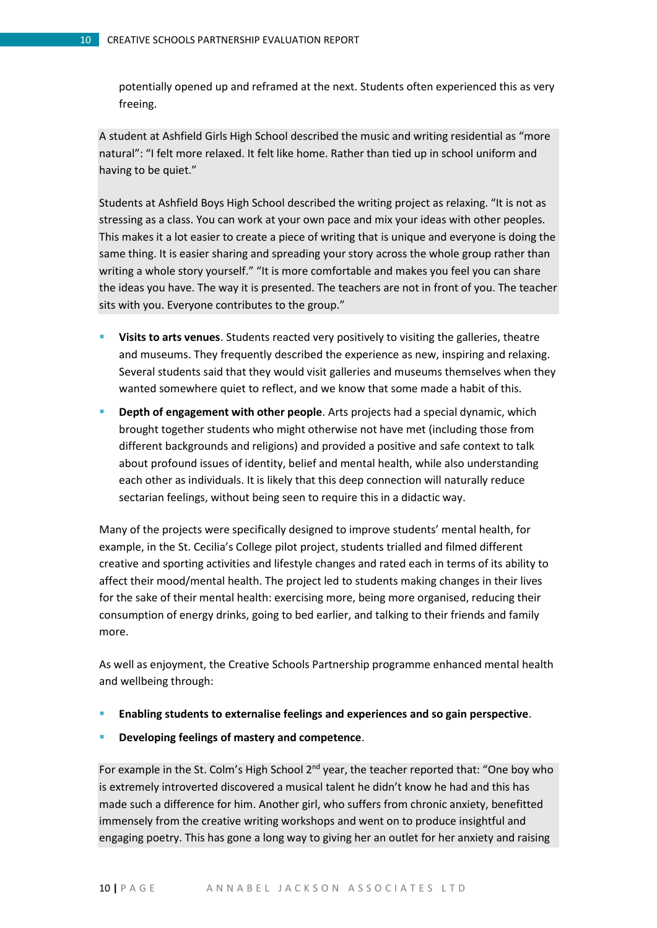potentially opened up and reframed at the next. Students often experienced this as very freeing.

A student at Ashfield Girls High School described the music and writing residential as "more natural": "I felt more relaxed. It felt like home. Rather than tied up in school uniform and having to be quiet."

Students at Ashfield Boys High School described the writing project as relaxing. "It is not as stressing as a class. You can work at your own pace and mix your ideas with other peoples. This makes it a lot easier to create a piece of writing that is unique and everyone is doing the same thing. It is easier sharing and spreading your story across the whole group rather than writing a whole story yourself." "It is more comfortable and makes you feel you can share the ideas you have. The way it is presented. The teachers are not in front of you. The teacher sits with you. Everyone contributes to the group."

- **Visits to arts venues**. Students reacted very positively to visiting the galleries, theatre and museums. They frequently described the experience as new, inspiring and relaxing. Several students said that they would visit galleries and museums themselves when they wanted somewhere quiet to reflect, and we know that some made a habit of this.
- **Depth of engagement with other people**. Arts projects had a special dynamic, which brought together students who might otherwise not have met (including those from different backgrounds and religions) and provided a positive and safe context to talk about profound issues of identity, belief and mental health, while also understanding each other as individuals. It is likely that this deep connection will naturally reduce sectarian feelings, without being seen to require this in a didactic way.

Many of the projects were specifically designed to improve students' mental health, for example, in the St. Cecilia's College pilot project, students trialled and filmed different creative and sporting activities and lifestyle changes and rated each in terms of its ability to affect their mood/mental health. The project led to students making changes in their lives for the sake of their mental health: exercising more, being more organised, reducing their consumption of energy drinks, going to bed earlier, and talking to their friends and family more.

As well as enjoyment, the Creative Schools Partnership programme enhanced mental health and wellbeing through:

- **Enabling students to externalise feelings and experiences and so gain perspective**.
- **Developing feelings of mastery and competence**.

For example in the St. Colm's High School 2<sup>nd</sup> year, the teacher reported that: "One boy who is extremely introverted discovered a musical talent he didn't know he had and this has made such a difference for him. Another girl, who suffers from chronic anxiety, benefitted immensely from the creative writing workshops and went on to produce insightful and engaging poetry. This has gone a long way to giving her an outlet for her anxiety and raising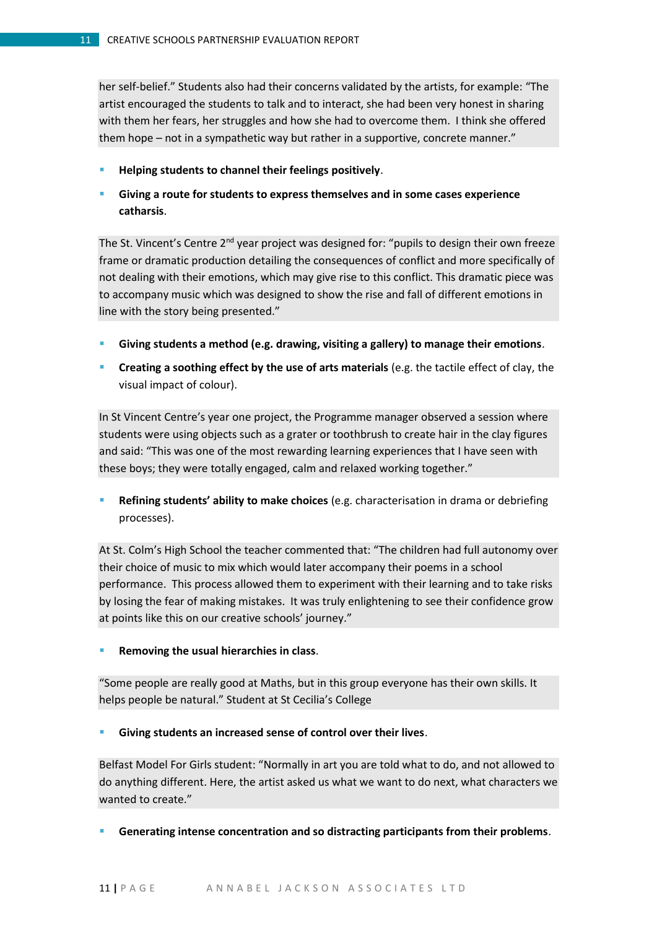her self-belief." Students also had their concerns validated by the artists, for example: "The artist encouraged the students to talk and to interact, she had been very honest in sharing with them her fears, her struggles and how she had to overcome them. I think she offered them hope – not in a sympathetic way but rather in a supportive, concrete manner."

- **Helping students to channel their feelings positively**.
- **Giving a route for students to express themselves and in some cases experience catharsis**.

The St. Vincent's Centre 2<sup>nd</sup> year project was designed for: "pupils to design their own freeze frame or dramatic production detailing the consequences of conflict and more specifically of not dealing with their emotions, which may give rise to this conflict. This dramatic piece was to accompany music which was designed to show the rise and fall of different emotions in line with the story being presented."

- **Giving students a method (e.g. drawing, visiting a gallery) to manage their emotions**.
- **Creating a soothing effect by the use of arts materials** (e.g. the tactile effect of clay, the visual impact of colour).

In St Vincent Centre's year one project, the Programme manager observed a session where students were using objects such as a grater or toothbrush to create hair in the clay figures and said: "This was one of the most rewarding learning experiences that I have seen with these boys; they were totally engaged, calm and relaxed working together."

 **Refining students' ability to make choices** (e.g. characterisation in drama or debriefing processes).

At St. Colm's High School the teacher commented that: "The children had full autonomy over their choice of music to mix which would later accompany their poems in a school performance. This process allowed them to experiment with their learning and to take risks by losing the fear of making mistakes. It was truly enlightening to see their confidence grow at points like this on our creative schools' journey."

**Removing the usual hierarchies in class**.

"Some people are really good at Maths, but in this group everyone has their own skills. It helps people be natural." Student at St Cecilia's College

**Giving students an increased sense of control over their lives**.

Belfast Model For Girls student: "Normally in art you are told what to do, and not allowed to do anything different. Here, the artist asked us what we want to do next, what characters we wanted to create."

**Generating intense concentration and so distracting participants from their problems**.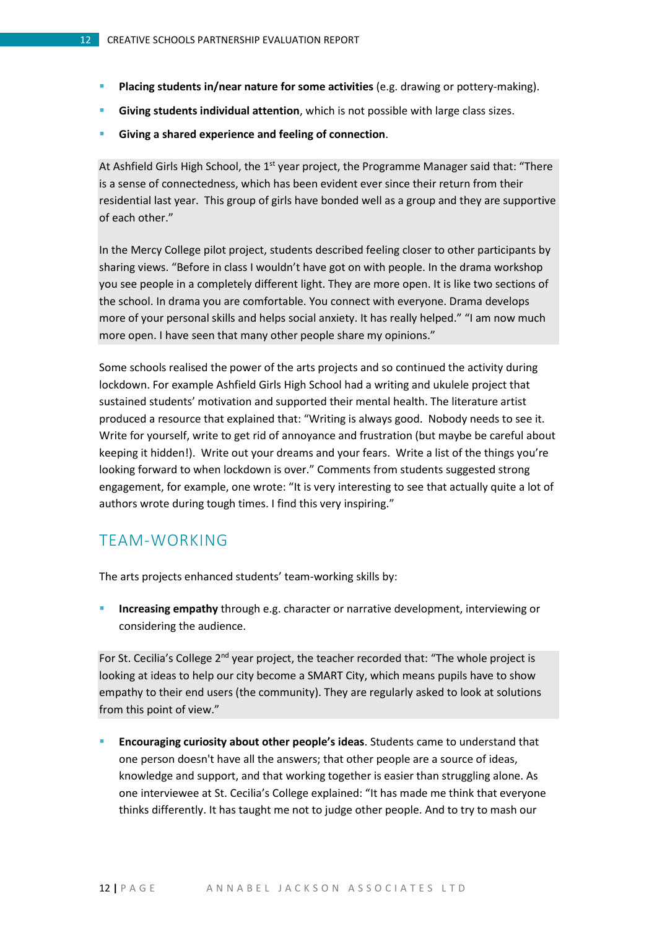- **Placing students in/near nature for some activities** (e.g. drawing or pottery-making).
- **Giving students individual attention**, which is not possible with large class sizes.
- **Giving a shared experience and feeling of connection**.

At Ashfield Girls High School, the  $1<sup>st</sup>$  year project, the Programme Manager said that: "There is a sense of connectedness, which has been evident ever since their return from their residential last year. This group of girls have bonded well as a group and they are supportive of each other."

In the Mercy College pilot project, students described feeling closer to other participants by sharing views. "Before in class I wouldn't have got on with people. In the drama workshop you see people in a completely different light. They are more open. It is like two sections of the school. In drama you are comfortable. You connect with everyone. Drama develops more of your personal skills and helps social anxiety. It has really helped." "I am now much more open. I have seen that many other people share my opinions."

Some schools realised the power of the arts projects and so continued the activity during lockdown. For example Ashfield Girls High School had a writing and ukulele project that sustained students' motivation and supported their mental health. The literature artist produced a resource that explained that: "Writing is always good. Nobody needs to see it. Write for yourself, write to get rid of annoyance and frustration (but maybe be careful about keeping it hidden!). Write out your dreams and your fears. Write a list of the things you're looking forward to when lockdown is over." Comments from students suggested strong engagement, for example, one wrote: "It is very interesting to see that actually quite a lot of authors wrote during tough times. I find this very inspiring."

## <span id="page-11-0"></span>TEAM-WORKING

The arts projects enhanced students' team-working skills by:

 **Increasing empathy** through e.g. character or narrative development, interviewing or considering the audience.

For St. Cecilia's College 2<sup>nd</sup> year project, the teacher recorded that: "The whole project is looking at ideas to help our city become a SMART City, which means pupils have to show empathy to their end users (the community). They are regularly asked to look at solutions from this point of view."

 **Encouraging curiosity about other people's ideas**. Students came to understand that one person doesn't have all the answers; that other people are a source of ideas, knowledge and support, and that working together is easier than struggling alone. As one interviewee at St. Cecilia's College explained: "It has made me think that everyone thinks differently. It has taught me not to judge other people. And to try to mash our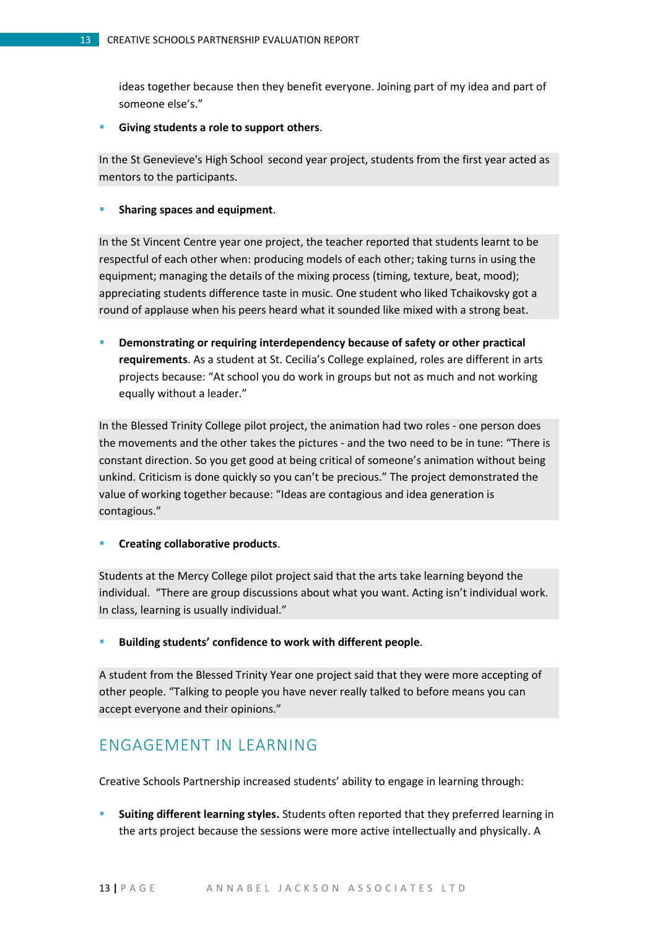ideas together because then they benefit everyone. Joining part of my idea and part of someone else's."

**Giving students a role to support others**.

In the St Genevieve's High School second year project, students from the first year acted as mentors to the participants.

**Sharing spaces and equipment**.

In the St Vincent Centre year one project, the teacher reported that students learnt to be respectful of each other when: producing models of each other; taking turns in using the equipment; managing the details of the mixing process (timing, texture, beat, mood); appreciating students difference taste in music. One student who liked Tchaikovsky got a round of applause when his peers heard what it sounded like mixed with a strong beat.

 **Demonstrating or requiring interdependency because of safety or other practical requirements**. As a student at St. Cecilia's College explained, roles are different in arts projects because: "At school you do work in groups but not as much and not working equally without a leader."

In the Blessed Trinity College pilot project, the animation had two roles - one person does the movements and the other takes the pictures - and the two need to be in tune: "There is constant direction. So you get good at being critical of someone's animation without being unkind. Criticism is done quickly so you can't be precious." The project demonstrated the value of working together because: "Ideas are contagious and idea generation is contagious."

**Creating collaborative products**.

Students at the Mercy College pilot project said that the arts take learning beyond the individual. "There are group discussions about what you want. Acting isn't individual work. In class, learning is usually individual."

**Building students' confidence to work with different people**.

A student from the Blessed Trinity Year one project said that they were more accepting of other people. "Talking to people you have never really talked to before means you can accept everyone and their opinions."

## <span id="page-12-0"></span>ENGAGEMENT IN LEARNING

Creative Schools Partnership increased students' ability to engage in learning through:

 **Suiting different learning styles.** Students often reported that they preferred learning in the arts project because the sessions were more active intellectually and physically. A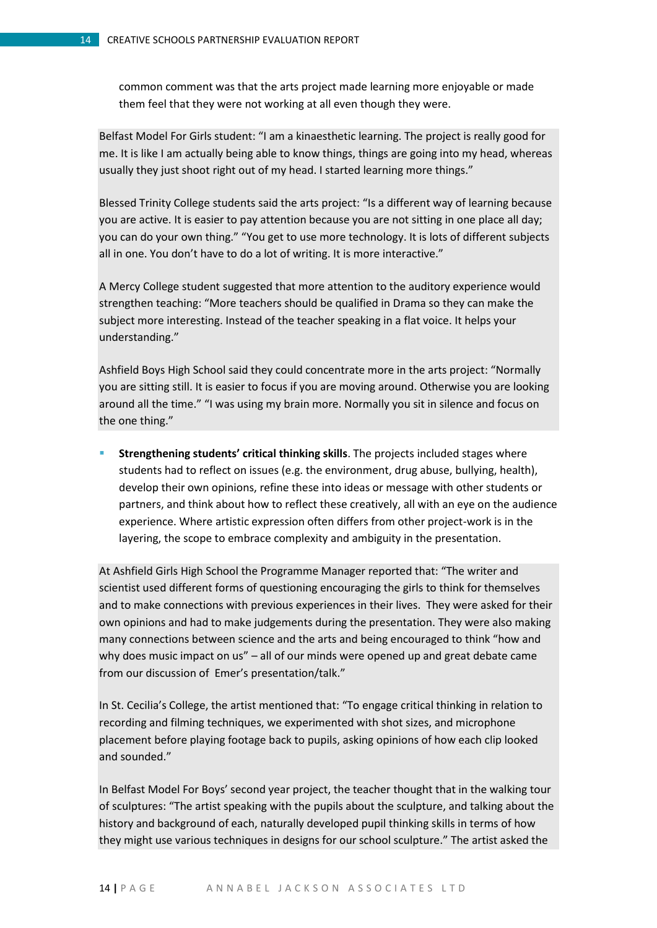common comment was that the arts project made learning more enjoyable or made them feel that they were not working at all even though they were.

Belfast Model For Girls student: "I am a kinaesthetic learning. The project is really good for me. It is like I am actually being able to know things, things are going into my head, whereas usually they just shoot right out of my head. I started learning more things."

Blessed Trinity College students said the arts project: "Is a different way of learning because you are active. It is easier to pay attention because you are not sitting in one place all day; you can do your own thing." "You get to use more technology. It is lots of different subjects all in one. You don't have to do a lot of writing. It is more interactive."

A Mercy College student suggested that more attention to the auditory experience would strengthen teaching: "More teachers should be qualified in Drama so they can make the subject more interesting. Instead of the teacher speaking in a flat voice. It helps your understanding."

Ashfield Boys High School said they could concentrate more in the arts project: "Normally you are sitting still. It is easier to focus if you are moving around. Otherwise you are looking around all the time." "I was using my brain more. Normally you sit in silence and focus on the one thing."

 **Strengthening students' critical thinking skills**. The projects included stages where students had to reflect on issues (e.g. the environment, drug abuse, bullying, health), develop their own opinions, refine these into ideas or message with other students or partners, and think about how to reflect these creatively, all with an eye on the audience experience. Where artistic expression often differs from other project-work is in the layering, the scope to embrace complexity and ambiguity in the presentation.

At Ashfield Girls High School the Programme Manager reported that: "The writer and scientist used different forms of questioning encouraging the girls to think for themselves and to make connections with previous experiences in their lives. They were asked for their own opinions and had to make judgements during the presentation. They were also making many connections between science and the arts and being encouraged to think "how and why does music impact on us" – all of our minds were opened up and great debate came from our discussion of Emer's presentation/talk."

In St. Cecilia's College, the artist mentioned that: "To engage critical thinking in relation to recording and filming techniques, we experimented with shot sizes, and microphone placement before playing footage back to pupils, asking opinions of how each clip looked and sounded."

In Belfast Model For Boys' second year project, the teacher thought that in the walking tour of sculptures: "The artist speaking with the pupils about the sculpture, and talking about the history and background of each, naturally developed pupil thinking skills in terms of how they might use various techniques in designs for our school sculpture." The artist asked the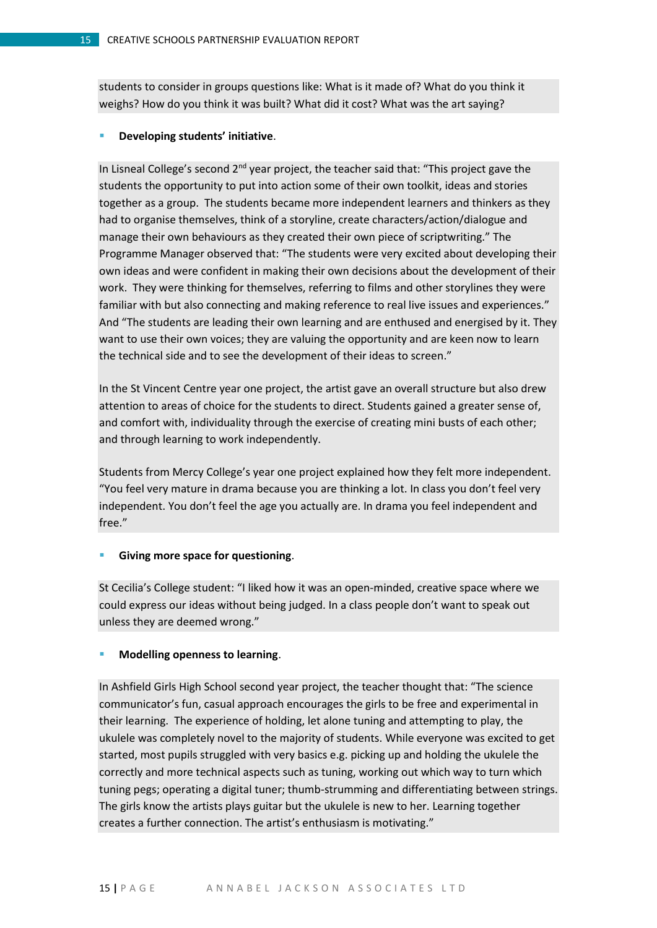students to consider in groups questions like: What is it made of? What do you think it weighs? How do you think it was built? What did it cost? What was the art saying?

#### **Developing students' initiative**.

In Lisneal College's second  $2<sup>nd</sup>$  year project, the teacher said that: "This project gave the students the opportunity to put into action some of their own toolkit, ideas and stories together as a group. The students became more independent learners and thinkers as they had to organise themselves, think of a storyline, create characters/action/dialogue and manage their own behaviours as they created their own piece of scriptwriting." The Programme Manager observed that: "The students were very excited about developing their own ideas and were confident in making their own decisions about the development of their work. They were thinking for themselves, referring to films and other storylines they were familiar with but also connecting and making reference to real live issues and experiences." And "The students are leading their own learning and are enthused and energised by it. They want to use their own voices; they are valuing the opportunity and are keen now to learn the technical side and to see the development of their ideas to screen."

In the St Vincent Centre year one project, the artist gave an overall structure but also drew attention to areas of choice for the students to direct. Students gained a greater sense of, and comfort with, individuality through the exercise of creating mini busts of each other; and through learning to work independently.

Students from Mercy College's year one project explained how they felt more independent. "You feel very mature in drama because you are thinking a lot. In class you don't feel very independent. You don't feel the age you actually are. In drama you feel independent and free."

#### **Giving more space for questioning**.

St Cecilia's College student: "I liked how it was an open-minded, creative space where we could express our ideas without being judged. In a class people don't want to speak out unless they are deemed wrong."

#### **Modelling openness to learning**.

In Ashfield Girls High School second year project, the teacher thought that: "The science communicator's fun, casual approach encourages the girls to be free and experimental in their learning. The experience of holding, let alone tuning and attempting to play, the ukulele was completely novel to the majority of students. While everyone was excited to get started, most pupils struggled with very basics e.g. picking up and holding the ukulele the correctly and more technical aspects such as tuning, working out which way to turn which tuning pegs; operating a digital tuner; thumb-strumming and differentiating between strings. The girls know the artists plays guitar but the ukulele is new to her. Learning together creates a further connection. The artist's enthusiasm is motivating."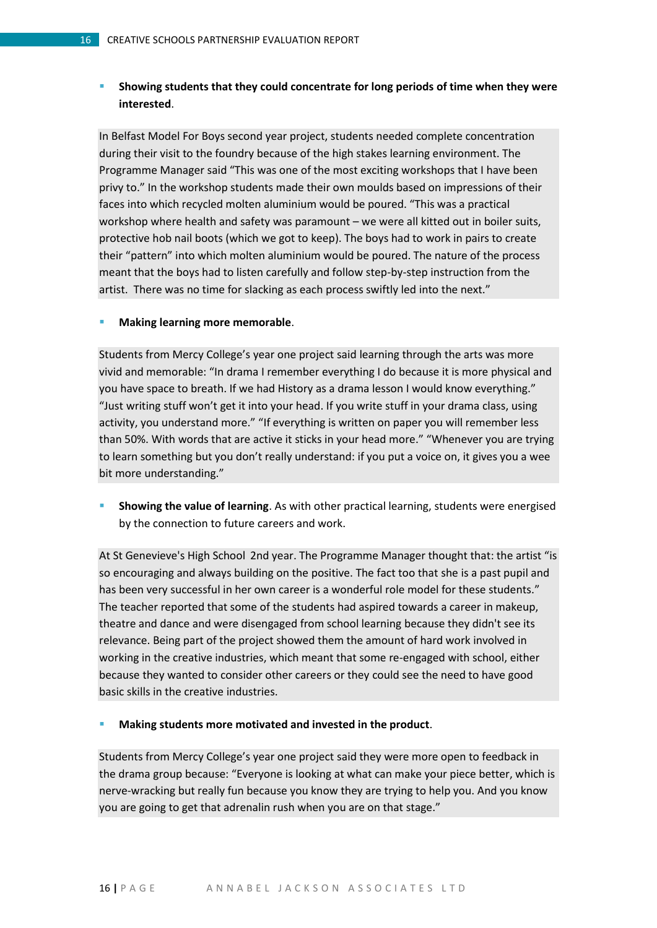#### **Showing students that they could concentrate for long periods of time when they were interested**.

In Belfast Model For Boys second year project, students needed complete concentration during their visit to the foundry because of the high stakes learning environment. The Programme Manager said "This was one of the most exciting workshops that I have been privy to." In the workshop students made their own moulds based on impressions of their faces into which recycled molten aluminium would be poured. "This was a practical workshop where health and safety was paramount – we were all kitted out in boiler suits, protective hob nail boots (which we got to keep). The boys had to work in pairs to create their "pattern" into which molten aluminium would be poured. The nature of the process meant that the boys had to listen carefully and follow step-by-step instruction from the artist. There was no time for slacking as each process swiftly led into the next."

#### **Making learning more memorable**.

Students from Mercy College's year one project said learning through the arts was more vivid and memorable: "In drama I remember everything I do because it is more physical and you have space to breath. If we had History as a drama lesson I would know everything." "Just writing stuff won't get it into your head. If you write stuff in your drama class, using activity, you understand more." "If everything is written on paper you will remember less than 50%. With words that are active it sticks in your head more." "Whenever you are trying to learn something but you don't really understand: if you put a voice on, it gives you a wee bit more understanding."

 **Showing the value of learning**. As with other practical learning, students were energised by the connection to future careers and work.

At St Genevieve's High School 2nd year. The Programme Manager thought that: the artist "is so encouraging and always building on the positive. The fact too that she is a past pupil and has been very successful in her own career is a wonderful role model for these students." The teacher reported that some of the students had aspired towards a career in makeup, theatre and dance and were disengaged from school learning because they didn't see its relevance. Being part of the project showed them the amount of hard work involved in working in the creative industries, which meant that some re-engaged with school, either because they wanted to consider other careers or they could see the need to have good basic skills in the creative industries.

**Making students more motivated and invested in the product**.

Students from Mercy College's year one project said they were more open to feedback in the drama group because: "Everyone is looking at what can make your piece better, which is nerve-wracking but really fun because you know they are trying to help you. And you know you are going to get that adrenalin rush when you are on that stage."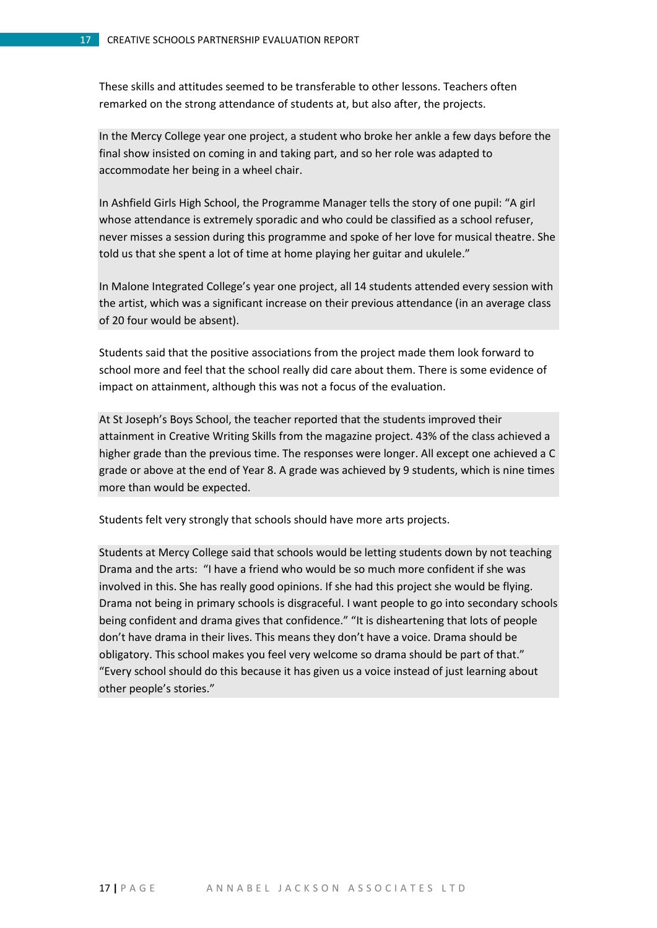These skills and attitudes seemed to be transferable to other lessons. Teachers often remarked on the strong attendance of students at, but also after, the projects.

In the Mercy College year one project, a student who broke her ankle a few days before the final show insisted on coming in and taking part, and so her role was adapted to accommodate her being in a wheel chair.

In Ashfield Girls High School, the Programme Manager tells the story of one pupil: "A girl whose attendance is extremely sporadic and who could be classified as a school refuser, never misses a session during this programme and spoke of her love for musical theatre. She told us that she spent a lot of time at home playing her guitar and ukulele."

In Malone Integrated College's year one project, all 14 students attended every session with the artist, which was a significant increase on their previous attendance (in an average class of 20 four would be absent).

Students said that the positive associations from the project made them look forward to school more and feel that the school really did care about them. There is some evidence of impact on attainment, although this was not a focus of the evaluation.

At St Joseph's Boys School, the teacher reported that the students improved their attainment in Creative Writing Skills from the magazine project. 43% of the class achieved a higher grade than the previous time. The responses were longer. All except one achieved a C grade or above at the end of Year 8. A grade was achieved by 9 students, which is nine times more than would be expected.

Students felt very strongly that schools should have more arts projects.

Students at Mercy College said that schools would be letting students down by not teaching Drama and the arts: "I have a friend who would be so much more confident if she was involved in this. She has really good opinions. If she had this project she would be flying. Drama not being in primary schools is disgraceful. I want people to go into secondary schools being confident and drama gives that confidence." "It is disheartening that lots of people don't have drama in their lives. This means they don't have a voice. Drama should be obligatory. This school makes you feel very welcome so drama should be part of that." "Every school should do this because it has given us a voice instead of just learning about other people's stories."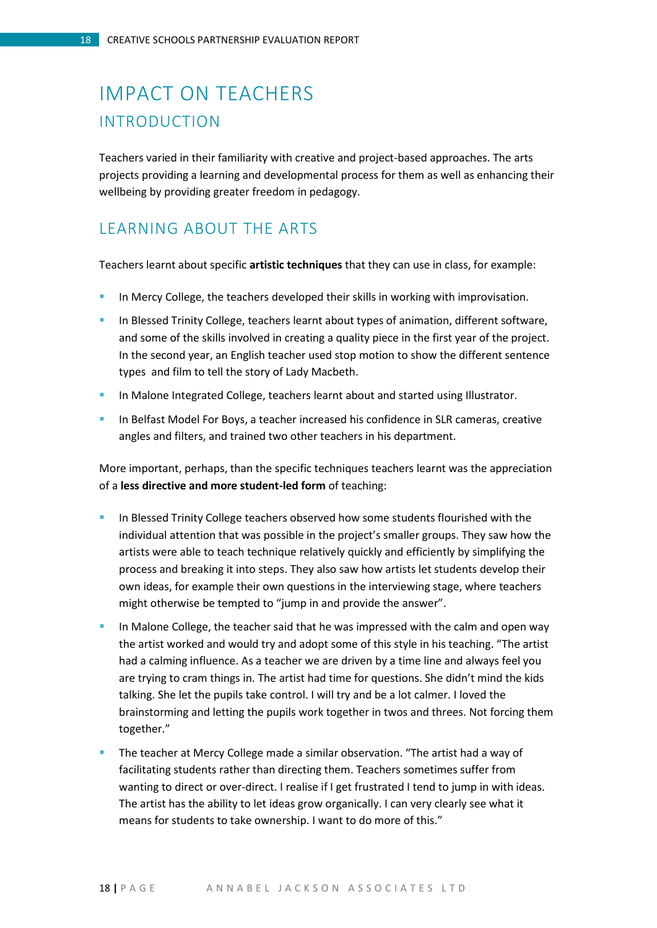# <span id="page-17-1"></span><span id="page-17-0"></span>IMPACT ON TEACHERS INTRODUCTION

Teachers varied in their familiarity with creative and project-based approaches. The arts projects providing a learning and developmental process for them as well as enhancing their wellbeing by providing greater freedom in pedagogy.

## <span id="page-17-2"></span>LEARNING ABOUT THE ARTS

Teachers learnt about specific **artistic techniques** that they can use in class, for example:

- In Mercy College, the teachers developed their skills in working with improvisation.
- In Blessed Trinity College, teachers learnt about types of animation, different software, and some of the skills involved in creating a quality piece in the first year of the project. In the second year, an English teacher used stop motion to show the different sentence types and film to tell the story of Lady Macbeth.
- In Malone Integrated College, teachers learnt about and started using Illustrator.
- In Belfast Model For Boys, a teacher increased his confidence in SLR cameras, creative angles and filters, and trained two other teachers in his department.

More important, perhaps, than the specific techniques teachers learnt was the appreciation of a **less directive and more student-led form** of teaching:

- In Blessed Trinity College teachers observed how some students flourished with the individual attention that was possible in the project's smaller groups. They saw how the artists were able to teach technique relatively quickly and efficiently by simplifying the process and breaking it into steps. They also saw how artists let students develop their own ideas, for example their own questions in the interviewing stage, where teachers might otherwise be tempted to "jump in and provide the answer".
- In Malone College, the teacher said that he was impressed with the calm and open way the artist worked and would try and adopt some of this style in his teaching. "The artist had a calming influence. As a teacher we are driven by a time line and always feel you are trying to cram things in. The artist had time for questions. She didn't mind the kids talking. She let the pupils take control. I will try and be a lot calmer. I loved the brainstorming and letting the pupils work together in twos and threes. Not forcing them together."
- The teacher at Mercy College made a similar observation. "The artist had a way of facilitating students rather than directing them. Teachers sometimes suffer from wanting to direct or over-direct. I realise if I get frustrated I tend to jump in with ideas. The artist has the ability to let ideas grow organically. I can very clearly see what it means for students to take ownership. I want to do more of this."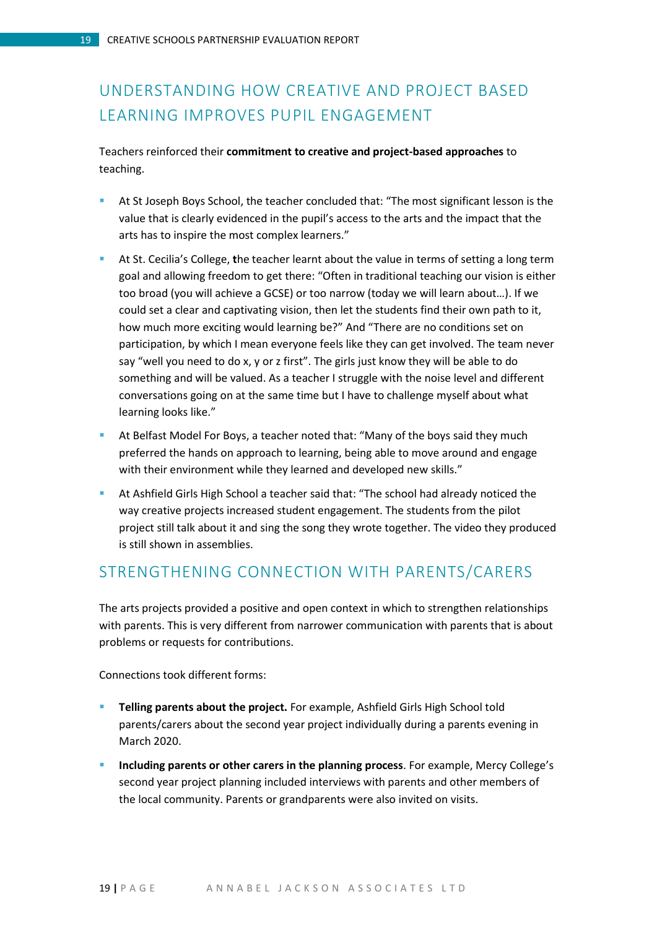# <span id="page-18-0"></span>UNDERSTANDING HOW CREATIVE AND PROJECT BASED LEARNING IMPROVES PUPIL ENGAGEMENT

Teachers reinforced their **commitment to creative and project-based approaches** to teaching.

- At St Joseph Boys School, the teacher concluded that: "The most significant lesson is the value that is clearly evidenced in the pupil's access to the arts and the impact that the arts has to inspire the most complex learners."
- At St. Cecilia's College, **t**he teacher learnt about the value in terms of setting a long term goal and allowing freedom to get there: "Often in traditional teaching our vision is either too broad (you will achieve a GCSE) or too narrow (today we will learn about…). If we could set a clear and captivating vision, then let the students find their own path to it, how much more exciting would learning be?" And "There are no conditions set on participation, by which I mean everyone feels like they can get involved. The team never say "well you need to do x, y or z first". The girls just know they will be able to do something and will be valued. As a teacher I struggle with the noise level and different conversations going on at the same time but I have to challenge myself about what learning looks like."
- At Belfast Model For Boys, a teacher noted that: "Many of the boys said they much preferred the hands on approach to learning, being able to move around and engage with their environment while they learned and developed new skills."
- At Ashfield Girls High School a teacher said that: "The school had already noticed the way creative projects increased student engagement. The students from the pilot project still talk about it and sing the song they wrote together. The video they produced is still shown in assemblies.

## <span id="page-18-1"></span>STRENGTHENING CONNECTION WITH PARENTS/CARERS

The arts projects provided a positive and open context in which to strengthen relationships with parents. This is very different from narrower communication with parents that is about problems or requests for contributions.

Connections took different forms:

- **Telling parents about the project.** For example, Ashfield Girls High School told parents/carers about the second year project individually during a parents evening in March 2020.
- **Including parents or other carers in the planning process**. For example, Mercy College's second year project planning included interviews with parents and other members of the local community. Parents or grandparents were also invited on visits.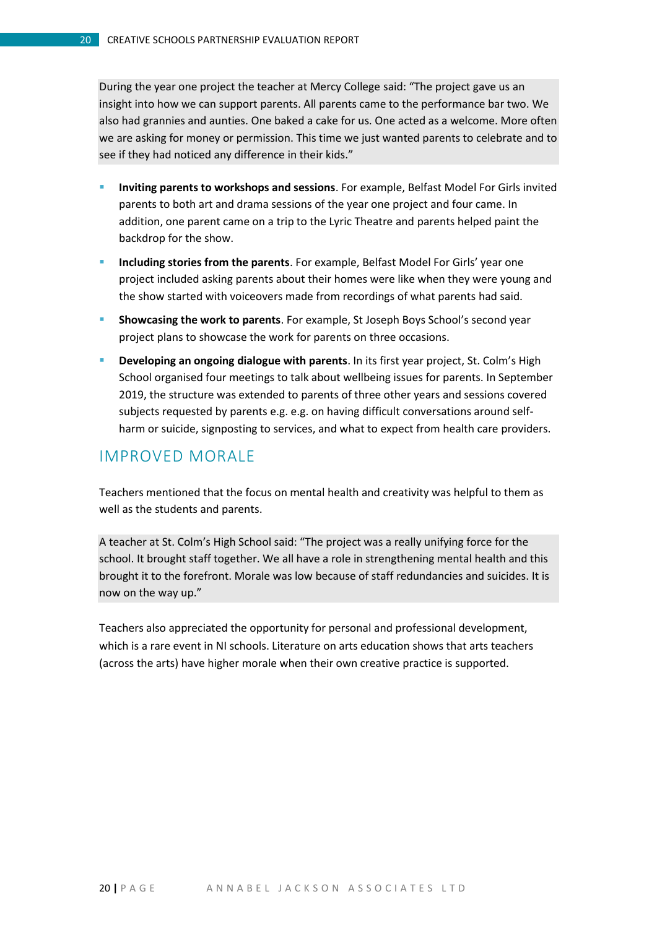During the year one project the teacher at Mercy College said: "The project gave us an insight into how we can support parents. All parents came to the performance bar two. We also had grannies and aunties. One baked a cake for us. One acted as a welcome. More often we are asking for money or permission. This time we just wanted parents to celebrate and to see if they had noticed any difference in their kids."

- **Inviting parents to workshops and sessions**. For example, Belfast Model For Girls invited parents to both art and drama sessions of the year one project and four came. In addition, one parent came on a trip to the Lyric Theatre and parents helped paint the backdrop for the show.
- **Including stories from the parents**. For example, Belfast Model For Girls' year one project included asking parents about their homes were like when they were young and the show started with voiceovers made from recordings of what parents had said.
- **Showcasing the work to parents**. For example, St Joseph Boys School's second year project plans to showcase the work for parents on three occasions.
- **Developing an ongoing dialogue with parents**. In its first year project, St. Colm's High School organised four meetings to talk about wellbeing issues for parents. In September 2019, the structure was extended to parents of three other years and sessions covered subjects requested by parents e.g. e.g. on having difficult conversations around selfharm or suicide, signposting to services, and what to expect from health care providers.

## <span id="page-19-0"></span>IMPROVED MORALE

Teachers mentioned that the focus on mental health and creativity was helpful to them as well as the students and parents.

A teacher at St. Colm's High School said: "The project was a really unifying force for the school. It brought staff together. We all have a role in strengthening mental health and this brought it to the forefront. Morale was low because of staff redundancies and suicides. It is now on the way up."

Teachers also appreciated the opportunity for personal and professional development, which is a rare event in NI schools. Literature on arts education shows that arts teachers (across the arts) have higher morale when their own creative practice is supported.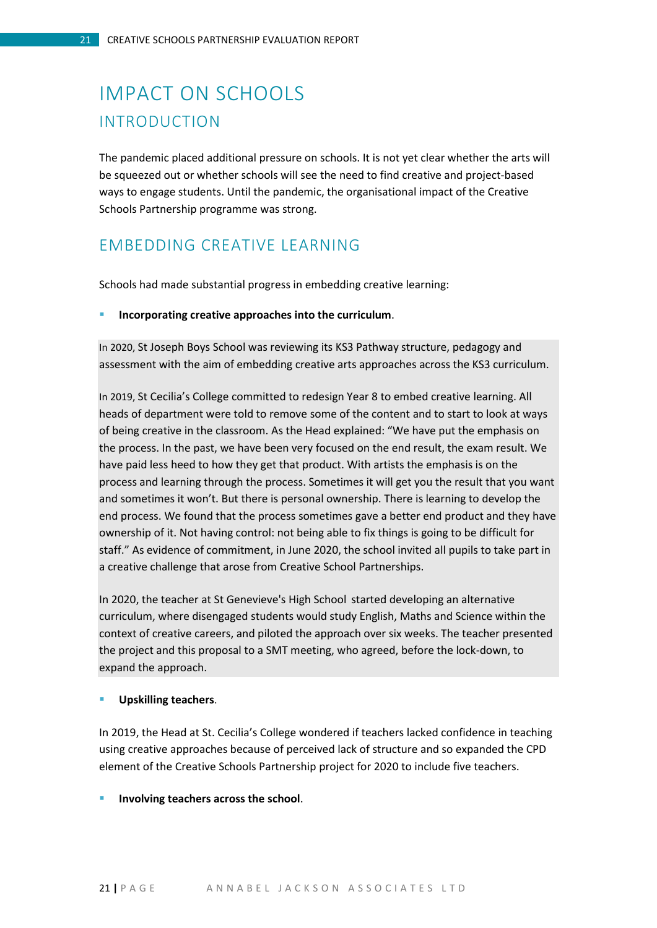# <span id="page-20-1"></span><span id="page-20-0"></span>IMPACT ON SCHOOLS INTRODUCTION

The pandemic placed additional pressure on schools. It is not yet clear whether the arts will be squeezed out or whether schools will see the need to find creative and project-based ways to engage students. Until the pandemic, the organisational impact of the Creative Schools Partnership programme was strong.

## <span id="page-20-2"></span>EMBEDDING CREATIVE LEARNING

Schools had made substantial progress in embedding creative learning:

#### **Incorporating creative approaches into the curriculum**.

In 2020, St Joseph Boys School was reviewing its KS3 Pathway structure, pedagogy and assessment with the aim of embedding creative arts approaches across the KS3 curriculum.

In 2019, St Cecilia's College committed to redesign Year 8 to embed creative learning. All heads of department were told to remove some of the content and to start to look at ways of being creative in the classroom. As the Head explained: "We have put the emphasis on the process. In the past, we have been very focused on the end result, the exam result. We have paid less heed to how they get that product. With artists the emphasis is on the process and learning through the process. Sometimes it will get you the result that you want and sometimes it won't. But there is personal ownership. There is learning to develop the end process. We found that the process sometimes gave a better end product and they have ownership of it. Not having control: not being able to fix things is going to be difficult for staff." As evidence of commitment, in June 2020, the school invited all pupils to take part in a creative challenge that arose from Creative School Partnerships.

In 2020, the teacher at St Genevieve's High School started developing an alternative curriculum, where disengaged students would study English, Maths and Science within the context of creative careers, and piloted the approach over six weeks. The teacher presented the project and this proposal to a SMT meeting, who agreed, before the lock-down, to expand the approach.

#### **Upskilling teachers**.

In 2019, the Head at St. Cecilia's College wondered if teachers lacked confidence in teaching using creative approaches because of perceived lack of structure and so expanded the CPD element of the Creative Schools Partnership project for 2020 to include five teachers.

#### **Involving teachers across the school**.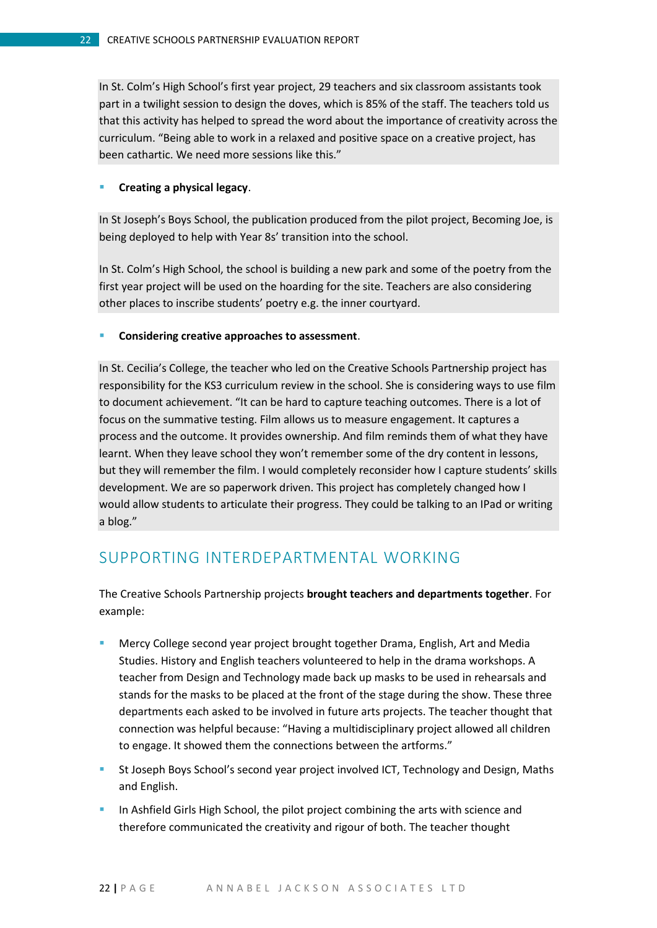In St. Colm's High School's first year project, 29 teachers and six classroom assistants took part in a twilight session to design the doves, which is 85% of the staff. The teachers told us that this activity has helped to spread the word about the importance of creativity across the curriculum. "Being able to work in a relaxed and positive space on a creative project, has been cathartic. We need more sessions like this."

#### **E** Creating a physical legacy.

In St Joseph's Boys School, the publication produced from the pilot project, Becoming Joe, is being deployed to help with Year 8s' transition into the school.

In St. Colm's High School, the school is building a new park and some of the poetry from the first year project will be used on the hoarding for the site. Teachers are also considering other places to inscribe students' poetry e.g. the inner courtyard.

#### **E** Considering creative approaches to assessment.

In St. Cecilia's College, the teacher who led on the Creative Schools Partnership project has responsibility for the KS3 curriculum review in the school. She is considering ways to use film to document achievement. "It can be hard to capture teaching outcomes. There is a lot of focus on the summative testing. Film allows us to measure engagement. It captures a process and the outcome. It provides ownership. And film reminds them of what they have learnt. When they leave school they won't remember some of the dry content in lessons, but they will remember the film. I would completely reconsider how I capture students' skills development. We are so paperwork driven. This project has completely changed how I would allow students to articulate their progress. They could be talking to an IPad or writing a blog."

### <span id="page-21-0"></span>SUPPORTING INTERDEPARTMENTAL WORKING

The Creative Schools Partnership projects **brought teachers and departments together**. For example:

- Mercy College second year project brought together Drama, English, Art and Media Studies. History and English teachers volunteered to help in the drama workshops. A teacher from Design and Technology made back up masks to be used in rehearsals and stands for the masks to be placed at the front of the stage during the show. These three departments each asked to be involved in future arts projects. The teacher thought that connection was helpful because: "Having a multidisciplinary project allowed all children to engage. It showed them the connections between the artforms."
- St Joseph Boys School's second year project involved ICT, Technology and Design, Maths and English.
- In Ashfield Girls High School, the pilot project combining the arts with science and therefore communicated the creativity and rigour of both. The teacher thought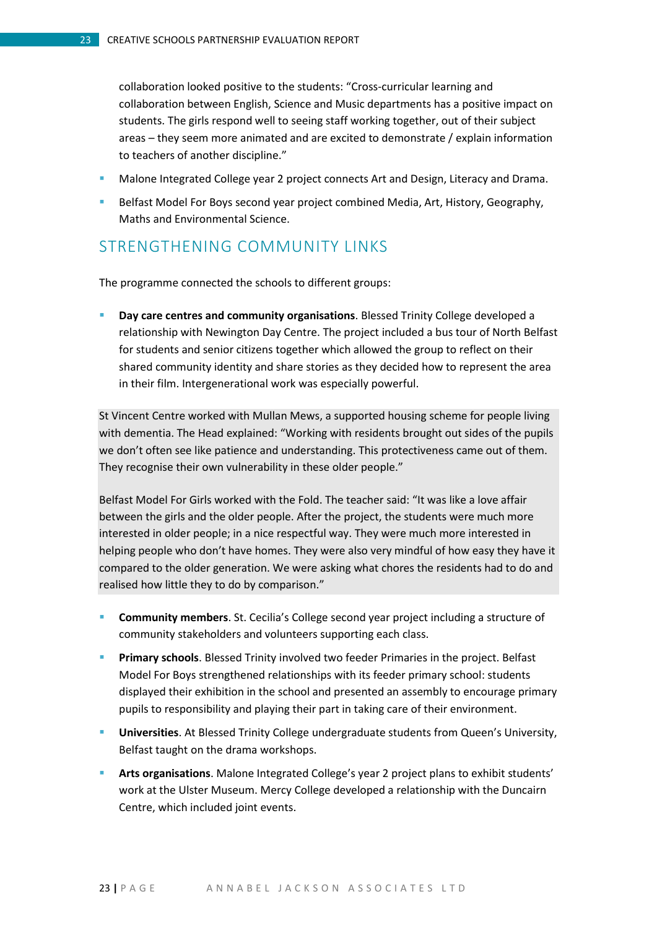collaboration looked positive to the students: "Cross-curricular learning and collaboration between English, Science and Music departments has a positive impact on students. The girls respond well to seeing staff working together, out of their subject areas – they seem more animated and are excited to demonstrate / explain information to teachers of another discipline."

- **Malone Integrated College year 2 project connects Art and Design, Literacy and Drama.**
- **Belfast Model For Boys second year project combined Media, Art, History, Geography,** Maths and Environmental Science.

### <span id="page-22-0"></span>STRENGTHENING COMMUNITY LINKS

The programme connected the schools to different groups:

 **Day care centres and community organisations**. Blessed Trinity College developed a relationship with Newington Day Centre. The project included a bus tour of North Belfast for students and senior citizens together which allowed the group to reflect on their shared community identity and share stories as they decided how to represent the area in their film. Intergenerational work was especially powerful.

St Vincent Centre worked with Mullan Mews, a supported housing scheme for people living with dementia. The Head explained: "Working with residents brought out sides of the pupils we don't often see like patience and understanding. This protectiveness came out of them. They recognise their own vulnerability in these older people."

Belfast Model For Girls worked with the Fold. The teacher said: "It was like a love affair between the girls and the older people. After the project, the students were much more interested in older people; in a nice respectful way. They were much more interested in helping people who don't have homes. They were also very mindful of how easy they have it compared to the older generation. We were asking what chores the residents had to do and realised how little they to do by comparison."

- **Community members**. St. Cecilia's College second year project including a structure of community stakeholders and volunteers supporting each class.
- **Primary schools**. Blessed Trinity involved two feeder Primaries in the project. Belfast Model For Boys strengthened relationships with its feeder primary school: students displayed their exhibition in the school and presented an assembly to encourage primary pupils to responsibility and playing their part in taking care of their environment.
- **Universities**. At Blessed Trinity College undergraduate students from Queen's University, Belfast taught on the drama workshops.
- **Arts organisations**. Malone Integrated College's year 2 project plans to exhibit students' work at the Ulster Museum. Mercy College developed a relationship with the Duncairn Centre, which included joint events.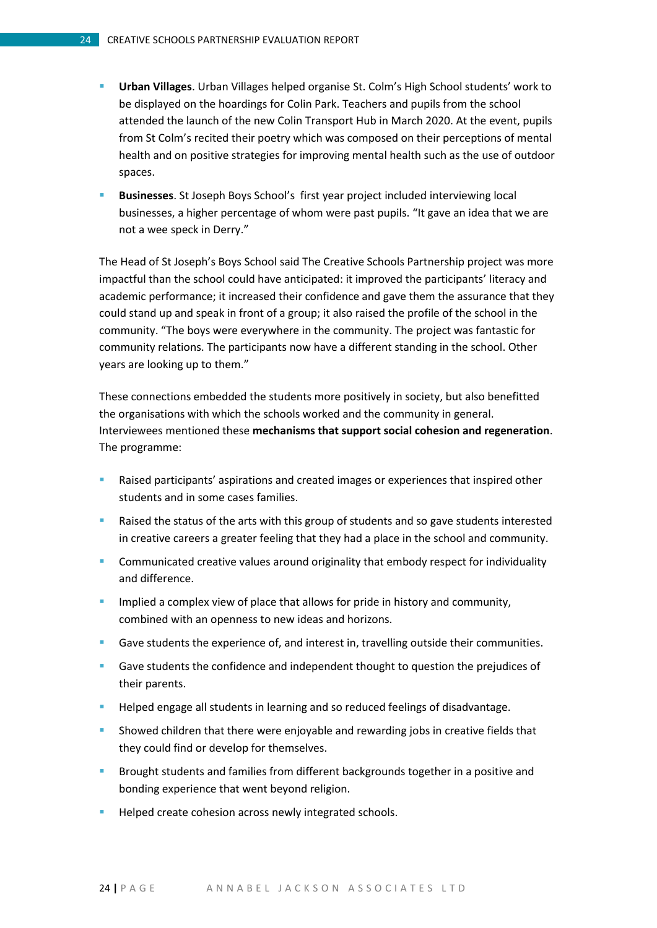- **Urban Villages**. Urban Villages helped organise St. Colm's High School students' work to be displayed on the hoardings for Colin Park. Teachers and pupils from the school attended the launch of the new Colin Transport Hub in March 2020. At the event, pupils from St Colm's recited their poetry which was composed on their perceptions of mental health and on positive strategies for improving mental health such as the use of outdoor spaces.
- **Businesses**. St Joseph Boys School's first year project included interviewing local businesses, a higher percentage of whom were past pupils. "It gave an idea that we are not a wee speck in Derry."

The Head of St Joseph's Boys School said The Creative Schools Partnership project was more impactful than the school could have anticipated: it improved the participants' literacy and academic performance; it increased their confidence and gave them the assurance that they could stand up and speak in front of a group; it also raised the profile of the school in the community. "The boys were everywhere in the community. The project was fantastic for community relations. The participants now have a different standing in the school. Other years are looking up to them."

These connections embedded the students more positively in society, but also benefitted the organisations with which the schools worked and the community in general. Interviewees mentioned these **mechanisms that support social cohesion and regeneration**. The programme:

- Raised participants' aspirations and created images or experiences that inspired other students and in some cases families.
- Raised the status of the arts with this group of students and so gave students interested in creative careers a greater feeling that they had a place in the school and community.
- **Communicated creative values around originality that embody respect for individuality** and difference.
- Implied a complex view of place that allows for pride in history and community, combined with an openness to new ideas and horizons.
- Gave students the experience of, and interest in, travelling outside their communities.
- Gave students the confidence and independent thought to question the prejudices of their parents.
- **Helped engage all students in learning and so reduced feelings of disadvantage.**
- Showed children that there were enjoyable and rewarding jobs in creative fields that they could find or develop for themselves.
- **Brought students and families from different backgrounds together in a positive and** bonding experience that went beyond religion.
- Helped create cohesion across newly integrated schools.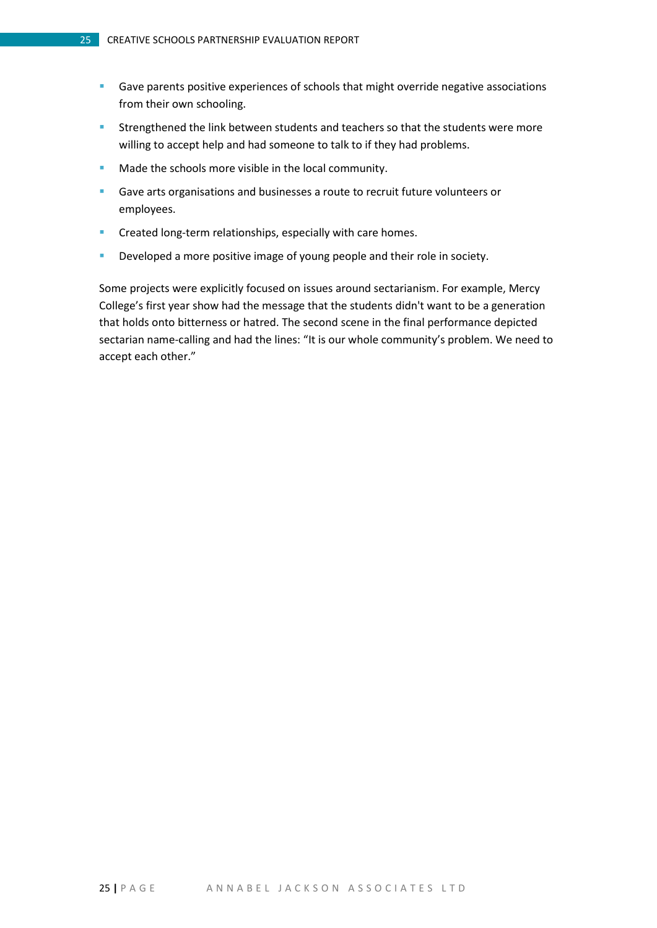- **Gave parents positive experiences of schools that might override negative associations** from their own schooling.
- **Strengthened the link between students and teachers so that the students were more** willing to accept help and had someone to talk to if they had problems.
- Made the schools more visible in the local community.
- Gave arts organisations and businesses a route to recruit future volunteers or employees.
- **Created long-term relationships, especially with care homes.**
- **Developed a more positive image of young people and their role in society.**

Some projects were explicitly focused on issues around sectarianism. For example, Mercy College's first year show had the message that the students didn't want to be a generation that holds onto bitterness or hatred. The second scene in the final performance depicted sectarian name-calling and had the lines: "It is our whole community's problem. We need to accept each other."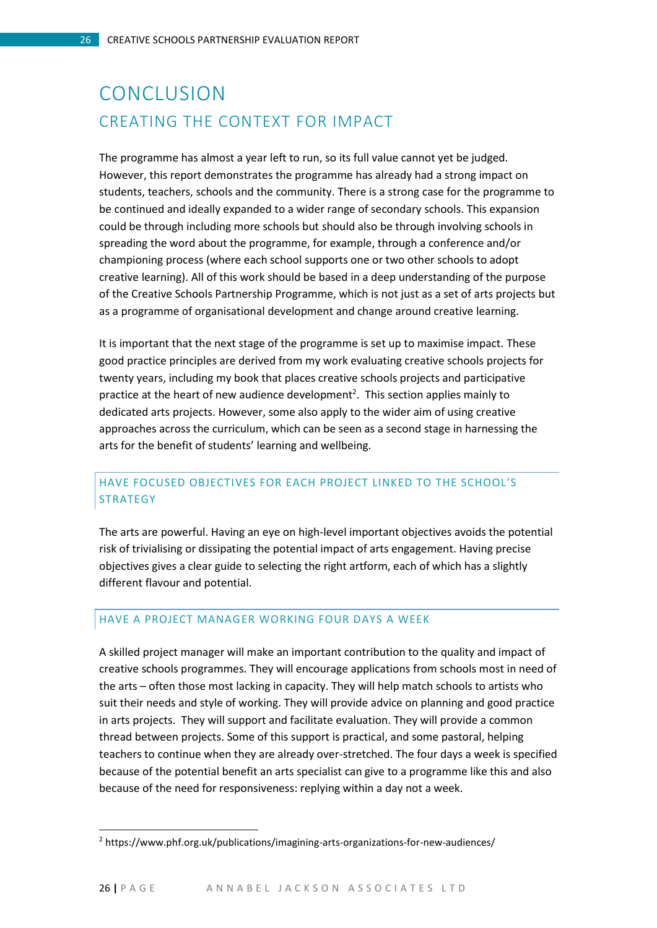# <span id="page-25-1"></span><span id="page-25-0"></span>CONCLUSION CREATING THE CONTEXT FOR IMPACT

The programme has almost a year left to run, so its full value cannot yet be judged. However, this report demonstrates the programme has already had a strong impact on students, teachers, schools and the community. There is a strong case for the programme to be continued and ideally expanded to a wider range of secondary schools. This expansion could be through including more schools but should also be through involving schools in spreading the word about the programme, for example, through a conference and/or championing process (where each school supports one or two other schools to adopt creative learning). All of this work should be based in a deep understanding of the purpose of the Creative Schools Partnership Programme, which is not just as a set of arts projects but as a programme of organisational development and change around creative learning.

It is important that the next stage of the programme is set up to maximise impact. These good practice principles are derived from my work evaluating creative schools projects for twenty years, including my book that places creative schools projects and participative practice at the heart of new audience development<sup>2</sup>. This section applies mainly to dedicated arts projects. However, some also apply to the wider aim of using creative approaches across the curriculum, which can be seen as a second stage in harnessing the arts for the benefit of students' learning and wellbeing.

### HAVE FOCUSED OBJECTIVES FOR EACH PROJECT LINKED TO THE SCHOOL'S **STRATEGY**

The arts are powerful. Having an eye on high-level important objectives avoids the potential risk of trivialising or dissipating the potential impact of arts engagement. Having precise objectives gives a clear guide to selecting the right artform, each of which has a slightly different flavour and potential.

#### HAVE A PROJECT MANAGER WORKING FOUR DAYS A WEEK

A skilled project manager will make an important contribution to the quality and impact of creative schools programmes. They will encourage applications from schools most in need of the arts – often those most lacking in capacity. They will help match schools to artists who suit their needs and style of working. They will provide advice on planning and good practice in arts projects. They will support and facilitate evaluation. They will provide a common thread between projects. Some of this support is practical, and some pastoral, helping teachers to continue when they are already over-stretched. The four days a week is specified because of the potential benefit an arts specialist can give to a programme like this and also because of the need for responsiveness: replying within a day not a week.

 $\overline{a}$ 

<sup>2</sup> https://www.phf.org.uk/publications/imagining-arts-organizations-for-new-audiences/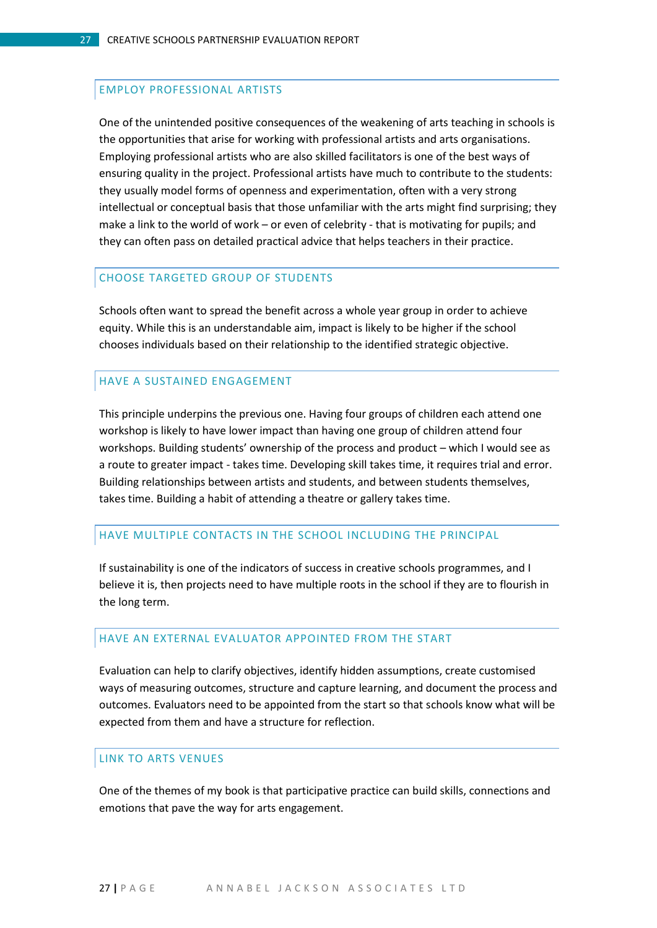#### EMPLOY PROFESSIONAL ARTISTS

One of the unintended positive consequences of the weakening of arts teaching in schools is the opportunities that arise for working with professional artists and arts organisations. Employing professional artists who are also skilled facilitators is one of the best ways of ensuring quality in the project. Professional artists have much to contribute to the students: they usually model forms of openness and experimentation, often with a very strong intellectual or conceptual basis that those unfamiliar with the arts might find surprising; they make a link to the world of work – or even of celebrity - that is motivating for pupils; and they can often pass on detailed practical advice that helps teachers in their practice.

#### CHOOSE TARGETED GROUP OF STUDENTS

Schools often want to spread the benefit across a whole year group in order to achieve equity. While this is an understandable aim, impact is likely to be higher if the school chooses individuals based on their relationship to the identified strategic objective.

#### HAVE A SUSTAINED ENGAGEMENT

This principle underpins the previous one. Having four groups of children each attend one workshop is likely to have lower impact than having one group of children attend four workshops. Building students' ownership of the process and product – which I would see as a route to greater impact - takes time. Developing skill takes time, it requires trial and error. Building relationships between artists and students, and between students themselves, takes time. Building a habit of attending a theatre or gallery takes time.

#### HAVE MULTIPLE CONTACTS IN THE SCHOOL INCLUDING THE PRINCIPAL

If sustainability is one of the indicators of success in creative schools programmes, and I believe it is, then projects need to have multiple roots in the school if they are to flourish in the long term.

#### HAVE AN EXTERNAL EVALUATOR APPOINTED FROM THE START

Evaluation can help to clarify objectives, identify hidden assumptions, create customised ways of measuring outcomes, structure and capture learning, and document the process and outcomes. Evaluators need to be appointed from the start so that schools know what will be expected from them and have a structure for reflection.

#### LINK TO ARTS VENUES

One of the themes of my book is that participative practice can build skills, connections and emotions that pave the way for arts engagement.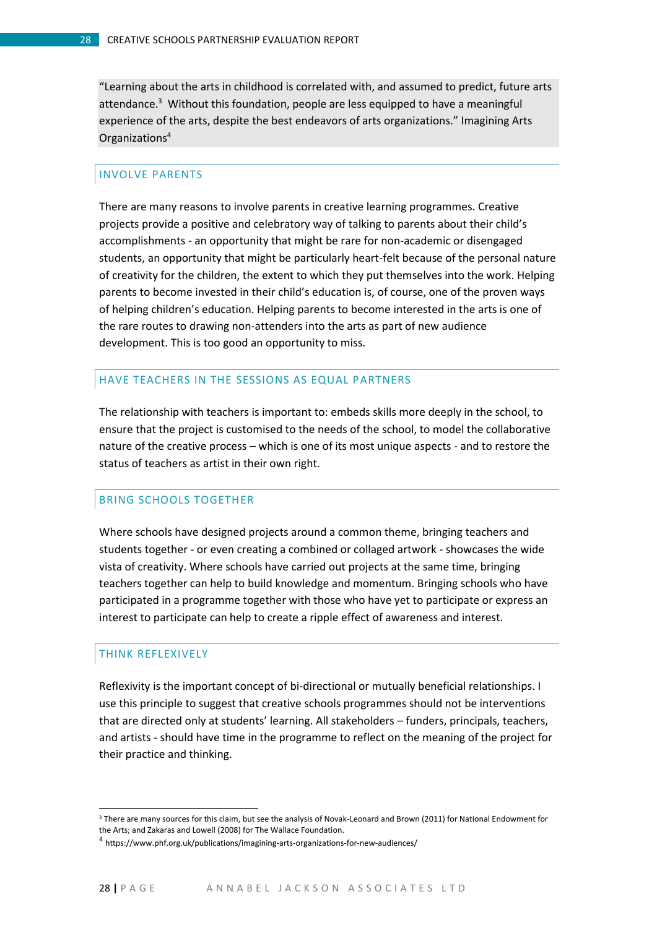"Learning about the arts in childhood is correlated with, and assumed to predict, future arts attendance.<sup>3</sup> Without this foundation, people are less equipped to have a meaningful experience of the arts, despite the best endeavors of arts organizations." Imagining Arts Organizations<sup>4</sup>

#### INVOLVE PARENTS

There are many reasons to involve parents in creative learning programmes. Creative projects provide a positive and celebratory way of talking to parents about their child's accomplishments - an opportunity that might be rare for non-academic or disengaged students, an opportunity that might be particularly heart-felt because of the personal nature of creativity for the children, the extent to which they put themselves into the work. Helping parents to become invested in their child's education is, of course, one of the proven ways of helping children's education. Helping parents to become interested in the arts is one of the rare routes to drawing non-attenders into the arts as part of new audience development. This is too good an opportunity to miss.

#### HAVE TEACHERS IN THE SESSIONS AS EQUAL PARTNERS

The relationship with teachers is important to: embeds skills more deeply in the school, to ensure that the project is customised to the needs of the school, to model the collaborative nature of the creative process – which is one of its most unique aspects - and to restore the status of teachers as artist in their own right.

#### BRING SCHOOLS TOGETHER

Where schools have designed projects around a common theme, bringing teachers and students together - or even creating a combined or collaged artwork - showcases the wide vista of creativity. Where schools have carried out projects at the same time, bringing teachers together can help to build knowledge and momentum. Bringing schools who have participated in a programme together with those who have yet to participate or express an interest to participate can help to create a ripple effect of awareness and interest.

#### THINK REFLEXIVELY

 $\overline{a}$ 

Reflexivity is the important concept of bi-directional or mutually beneficial relationships. I use this principle to suggest that creative schools programmes should not be interventions that are directed only at students' learning. All stakeholders – funders, principals, teachers, and artists - should have time in the programme to reflect on the meaning of the project for their practice and thinking.

<sup>&</sup>lt;sup>3</sup> There are many sources for this claim, but see the analysis of Novak-Leonard and Brown (2011) for National Endowment for the Arts; and Zakaras and Lowell (2008) for The Wallace Foundation.

<sup>4</sup> https://www.phf.org.uk/publications/imagining-arts-organizations-for-new-audiences/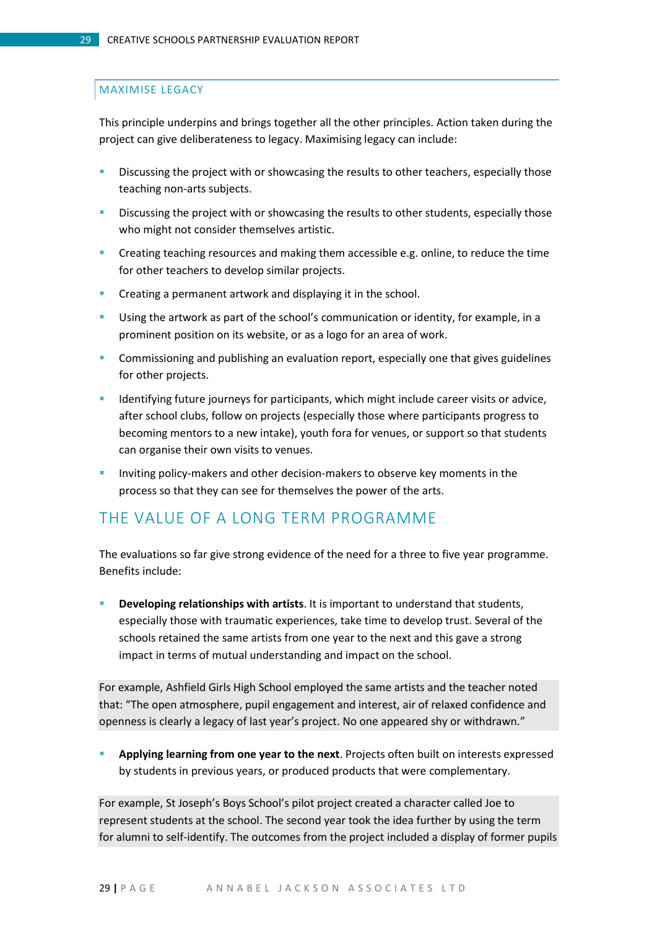#### MAXIMISE LEGACY

This principle underpins and brings together all the other principles. Action taken during the project can give deliberateness to legacy. Maximising legacy can include:

- Discussing the project with or showcasing the results to other teachers, especially those teaching non-arts subjects.
- Discussing the project with or showcasing the results to other students, especially those who might not consider themselves artistic.
- **•** Creating teaching resources and making them accessible e.g. online, to reduce the time for other teachers to develop similar projects.
- Creating a permanent artwork and displaying it in the school.
- Using the artwork as part of the school's communication or identity, for example, in a prominent position on its website, or as a logo for an area of work.
- Commissioning and publishing an evaluation report, especially one that gives guidelines for other projects.
- **IDENTIFY IDENTIFY IDENTIFY:** Identifying future journeys for participants, which might include career visits or advice, after school clubs, follow on projects (especially those where participants progress to becoming mentors to a new intake), youth fora for venues, or support so that students can organise their own visits to venues.
- **Inviting policy-makers and other decision-makers to observe key moments in the** process so that they can see for themselves the power of the arts.

### <span id="page-28-0"></span>THE VALUE OF A LONG TERM PROGRAMME

The evaluations so far give strong evidence of the need for a three to five year programme. Benefits include:

 **Developing relationships with artists**. It is important to understand that students, especially those with traumatic experiences, take time to develop trust. Several of the schools retained the same artists from one year to the next and this gave a strong impact in terms of mutual understanding and impact on the school.

For example, Ashfield Girls High School employed the same artists and the teacher noted that: "The open atmosphere, pupil engagement and interest, air of relaxed confidence and openness is clearly a legacy of last year's project. No one appeared shy or withdrawn."

 **Applying learning from one year to the next**. Projects often built on interests expressed by students in previous years, or produced products that were complementary.

For example, St Joseph's Boys School's pilot project created a character called Joe to represent students at the school. The second year took the idea further by using the term for alumni to self-identify. The outcomes from the project included a display of former pupils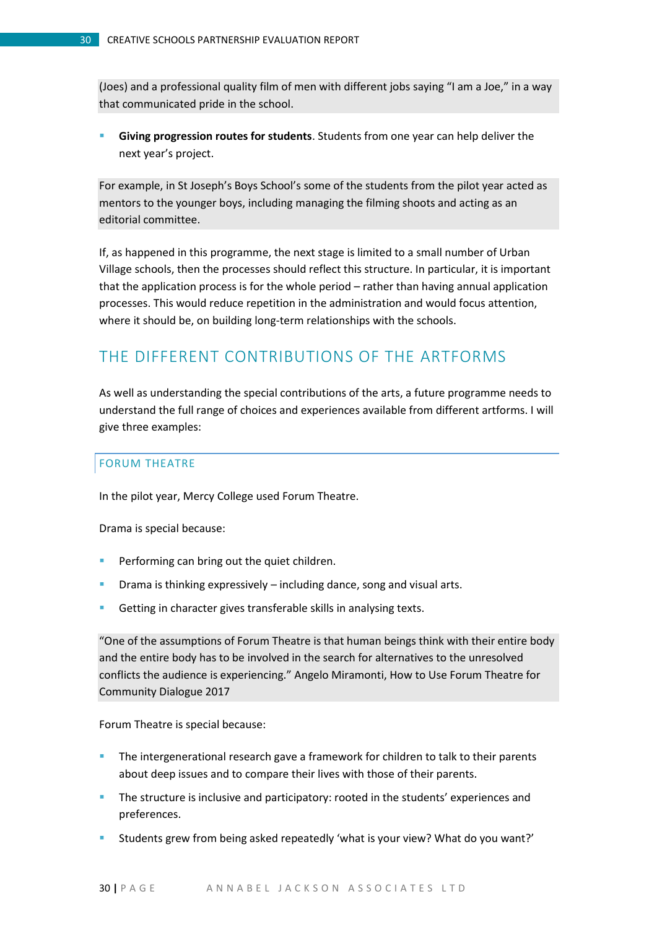(Joes) and a professional quality film of men with different jobs saying "I am a Joe," in a way that communicated pride in the school.

 **Giving progression routes for students**. Students from one year can help deliver the next year's project.

For example, in St Joseph's Boys School's some of the students from the pilot year acted as mentors to the younger boys, including managing the filming shoots and acting as an editorial committee.

If, as happened in this programme, the next stage is limited to a small number of Urban Village schools, then the processes should reflect this structure. In particular, it is important that the application process is for the whole period – rather than having annual application processes. This would reduce repetition in the administration and would focus attention, where it should be, on building long-term relationships with the schools.

## <span id="page-29-0"></span>THE DIFFERENT CONTRIBUTIONS OF THE ARTFORMS

As well as understanding the special contributions of the arts, a future programme needs to understand the full range of choices and experiences available from different artforms. I will give three examples:

#### FORUM THEATRE

In the pilot year, Mercy College used Forum Theatre.

Drama is special because:

- **Performing can bring out the quiet children.**
- Drama is thinking expressively including dance, song and visual arts.
- Getting in character gives transferable skills in analysing texts.

"One of the assumptions of Forum Theatre is that human beings think with their entire body and the entire body has to be involved in the search for alternatives to the unresolved conflicts the audience is experiencing." Angelo Miramonti, How to Use Forum Theatre for Community Dialogue 2017

Forum Theatre is special because:

- **The intergenerational research gave a framework for children to talk to their parents** about deep issues and to compare their lives with those of their parents.
- **The structure is inclusive and participatory: rooted in the students' experiences and** preferences.
- Students grew from being asked repeatedly 'what is your view? What do you want?'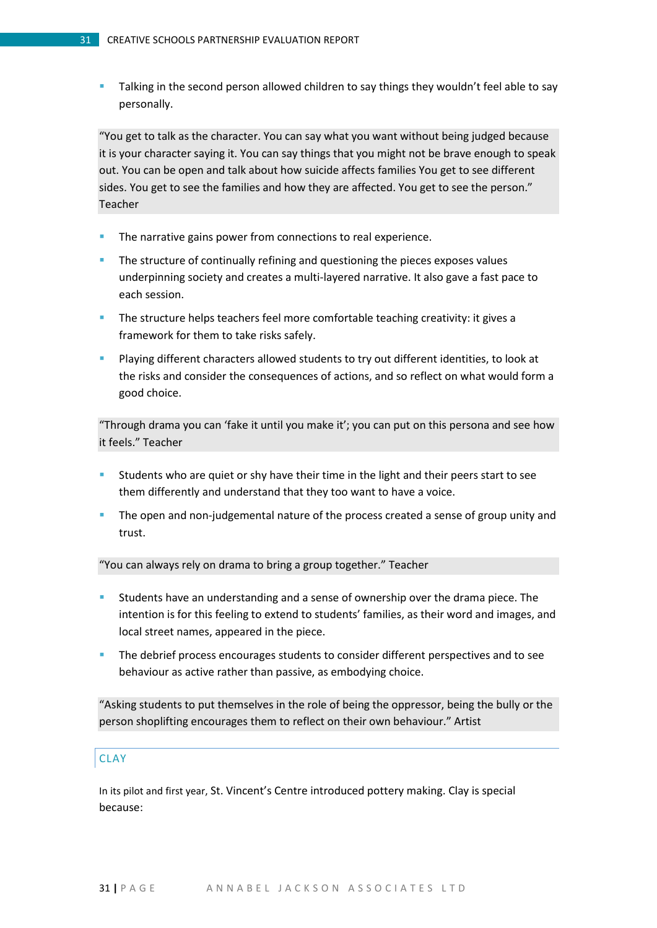Talking in the second person allowed children to say things they wouldn't feel able to say personally.

"You get to talk as the character. You can say what you want without being judged because it is your character saying it. You can say things that you might not be brave enough to speak out. You can be open and talk about how suicide affects families You get to see different sides. You get to see the families and how they are affected. You get to see the person." Teacher

- The narrative gains power from connections to real experience.
- The structure of continually refining and questioning the pieces exposes values underpinning society and creates a multi-layered narrative. It also gave a fast pace to each session.
- The structure helps teachers feel more comfortable teaching creativity: it gives a framework for them to take risks safely.
- Playing different characters allowed students to try out different identities, to look at the risks and consider the consequences of actions, and so reflect on what would form a good choice.

"Through drama you can 'fake it until you make it'; you can put on this persona and see how it feels." Teacher

- Students who are quiet or shy have their time in the light and their peers start to see them differently and understand that they too want to have a voice.
- The open and non-judgemental nature of the process created a sense of group unity and trust.

#### "You can always rely on drama to bring a group together." Teacher

- Students have an understanding and a sense of ownership over the drama piece. The intention is for this feeling to extend to students' families, as their word and images, and local street names, appeared in the piece.
- The debrief process encourages students to consider different perspectives and to see behaviour as active rather than passive, as embodying choice.

"Asking students to put themselves in the role of being the oppressor, being the bully or the person shoplifting encourages them to reflect on their own behaviour." Artist

#### **CLAY**

In its pilot and first year, St. Vincent's Centre introduced pottery making. Clay is special because: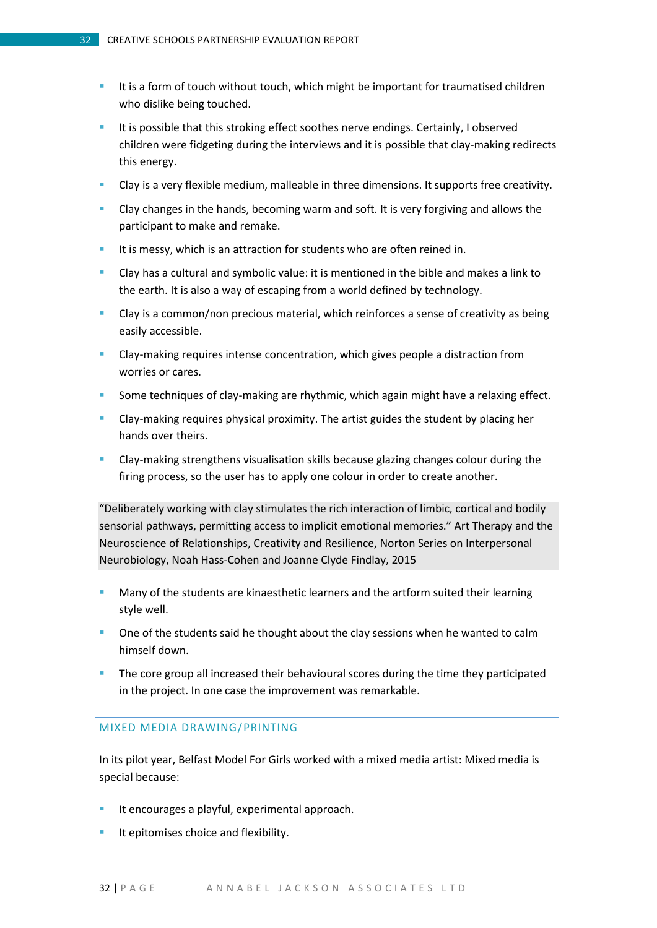- It is a form of touch without touch, which might be important for traumatised children who dislike being touched.
- It is possible that this stroking effect soothes nerve endings. Certainly, I observed children were fidgeting during the interviews and it is possible that clay-making redirects this energy.
- Clay is a very flexible medium, malleable in three dimensions. It supports free creativity.
- **Clay changes in the hands, becoming warm and soft. It is very forgiving and allows the** participant to make and remake.
- It is messy, which is an attraction for students who are often reined in.
- Clay has a cultural and symbolic value: it is mentioned in the bible and makes a link to the earth. It is also a way of escaping from a world defined by technology.
- **EXT** Clay is a common/non precious material, which reinforces a sense of creativity as being easily accessible.
- Clay-making requires intense concentration, which gives people a distraction from worries or cares.
- Some techniques of clay-making are rhythmic, which again might have a relaxing effect.
- Clay-making requires physical proximity. The artist guides the student by placing her hands over theirs.
- Clay-making strengthens visualisation skills because glazing changes colour during the firing process, so the user has to apply one colour in order to create another.

"Deliberately working with clay stimulates the rich interaction of limbic, cortical and bodily sensorial pathways, permitting access to implicit emotional memories." Art Therapy and the Neuroscience of Relationships, Creativity and Resilience, Norton Series on Interpersonal Neurobiology, Noah Hass-Cohen and Joanne Clyde Findlay, 2015

- Many of the students are kinaesthetic learners and the artform suited their learning style well.
- **•** One of the students said he thought about the clay sessions when he wanted to calm himself down.
- **The core group all increased their behavioural scores during the time they participated** in the project. In one case the improvement was remarkable.

#### MIXED MEDIA DRAWING/PRINTING

In its pilot year, Belfast Model For Girls worked with a mixed media artist: Mixed media is special because:

- It encourages a playful, experimental approach.
- It epitomises choice and flexibility.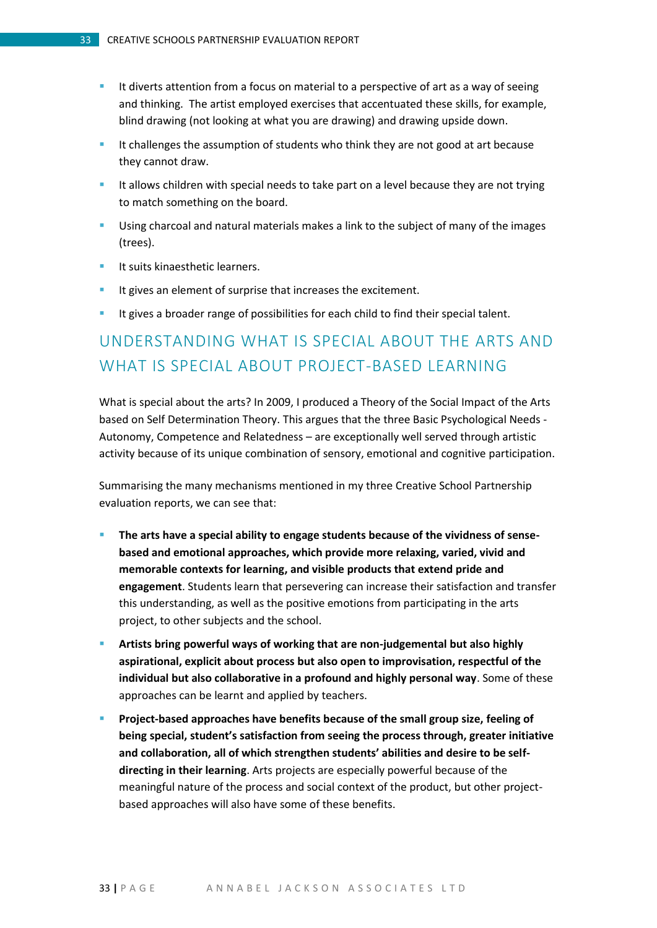- It diverts attention from a focus on material to a perspective of art as a way of seeing and thinking. The artist employed exercises that accentuated these skills, for example, blind drawing (not looking at what you are drawing) and drawing upside down.
- It challenges the assumption of students who think they are not good at art because they cannot draw.
- It allows children with special needs to take part on a level because they are not trying to match something on the board.
- Using charcoal and natural materials makes a link to the subject of many of the images (trees).
- $\blacksquare$  It suits kinaesthetic learners.
- It gives an element of surprise that increases the excitement.
- It gives a broader range of possibilities for each child to find their special talent.

# <span id="page-32-0"></span>UNDERSTANDING WHAT IS SPECIAL ABOUT THE ARTS AND WHAT IS SPECIAL ABOUT PROJECT-BASED LEARNING

What is special about the arts? In 2009, I produced a Theory of the Social Impact of the Arts based on Self Determination Theory. This argues that the three Basic Psychological Needs - Autonomy, Competence and Relatedness – are exceptionally well served through artistic activity because of its unique combination of sensory, emotional and cognitive participation.

Summarising the many mechanisms mentioned in my three Creative School Partnership evaluation reports, we can see that:

- **The arts have a special ability to engage students because of the vividness of sensebased and emotional approaches, which provide more relaxing, varied, vivid and memorable contexts for learning, and visible products that extend pride and engagement**. Students learn that persevering can increase their satisfaction and transfer this understanding, as well as the positive emotions from participating in the arts project, to other subjects and the school.
- **Artists bring powerful ways of working that are non-judgemental but also highly aspirational, explicit about process but also open to improvisation, respectful of the individual but also collaborative in a profound and highly personal way**. Some of these approaches can be learnt and applied by teachers.
- **Project-based approaches have benefits because of the small group size, feeling of being special, student's satisfaction from seeing the process through, greater initiative and collaboration, all of which strengthen students' abilities and desire to be selfdirecting in their learning**. Arts projects are especially powerful because of the meaningful nature of the process and social context of the product, but other projectbased approaches will also have some of these benefits.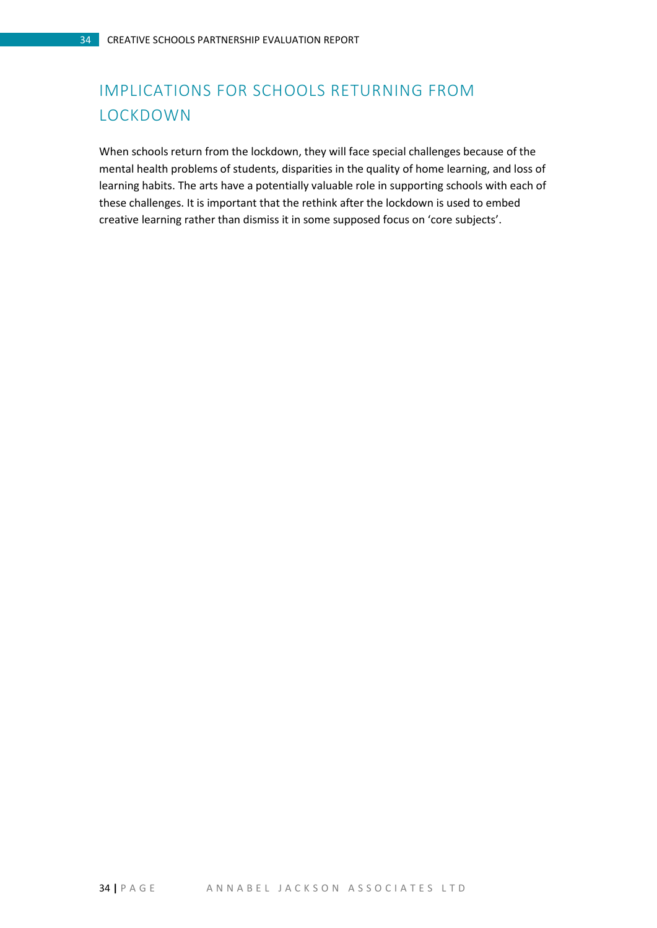# <span id="page-33-0"></span>IMPLICATIONS FOR SCHOOLS RETURNING FROM LOCKDOWN

When schools return from the lockdown, they will face special challenges because of the mental health problems of students, disparities in the quality of home learning, and loss of learning habits. The arts have a potentially valuable role in supporting schools with each of these challenges. It is important that the rethink after the lockdown is used to embed creative learning rather than dismiss it in some supposed focus on 'core subjects'.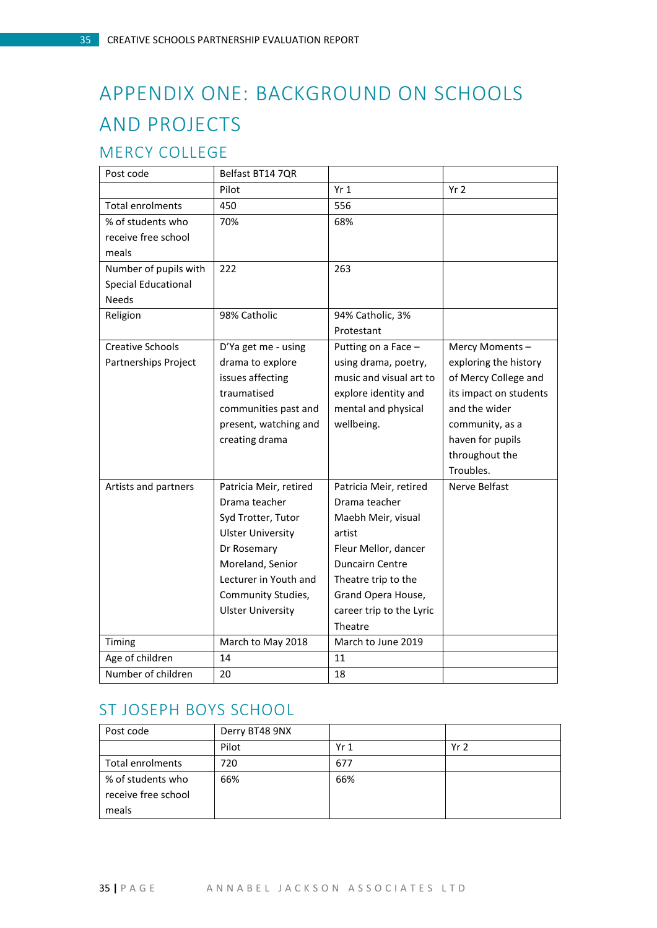# <span id="page-34-0"></span>APPENDIX ONE: BACKGROUND ON SCHOOLS AND PROJECTS

## <span id="page-34-1"></span>MERCY COLLEGE

| Post code                  | Belfast BT14 7QR         |                          |                        |
|----------------------------|--------------------------|--------------------------|------------------------|
|                            | Pilot                    | Yr <sub>1</sub>          | Yr <sub>2</sub>        |
| <b>Total enrolments</b>    | 450                      | 556                      |                        |
| % of students who          | 70%                      | 68%                      |                        |
| receive free school        |                          |                          |                        |
| meals                      |                          |                          |                        |
| Number of pupils with      | 222                      | 263                      |                        |
| <b>Special Educational</b> |                          |                          |                        |
| <b>Needs</b>               |                          |                          |                        |
| Religion                   | 98% Catholic             | 94% Catholic, 3%         |                        |
|                            |                          | Protestant               |                        |
| <b>Creative Schools</b>    | D'Ya get me - using      | Putting on a Face -      | Mercy Moments-         |
| Partnerships Project       | drama to explore         | using drama, poetry,     | exploring the history  |
|                            | issues affecting         | music and visual art to  | of Mercy College and   |
|                            | traumatised              | explore identity and     | its impact on students |
|                            | communities past and     | mental and physical      | and the wider          |
|                            | present, watching and    | wellbeing.               | community, as a        |
|                            | creating drama           |                          | haven for pupils       |
|                            |                          |                          | throughout the         |
|                            |                          |                          | Troubles.              |
| Artists and partners       | Patricia Meir, retired   | Patricia Meir, retired   | Nerve Belfast          |
|                            | Drama teacher            | Drama teacher            |                        |
|                            | Syd Trotter, Tutor       | Maebh Meir, visual       |                        |
|                            | <b>Ulster University</b> | artist                   |                        |
|                            | Dr Rosemary              | Fleur Mellor, dancer     |                        |
|                            | Moreland, Senior         | <b>Duncairn Centre</b>   |                        |
|                            | Lecturer in Youth and    | Theatre trip to the      |                        |
|                            | Community Studies,       | Grand Opera House,       |                        |
|                            | <b>Ulster University</b> | career trip to the Lyric |                        |
|                            |                          | Theatre                  |                        |
| Timing                     | March to May 2018        | March to June 2019       |                        |
| Age of children            | 14                       | 11                       |                        |
| Number of children         | 20                       | 18                       |                        |

## <span id="page-34-2"></span>ST JOSEPH BOYS SCHOOL

| Post code           | Derry BT48 9NX |                 |                 |
|---------------------|----------------|-----------------|-----------------|
|                     | Pilot          | Yr <sub>1</sub> | Yr <sub>2</sub> |
| Total enrolments    | 720            | 677             |                 |
| % of students who   | 66%            | 66%             |                 |
| receive free school |                |                 |                 |
| meals               |                |                 |                 |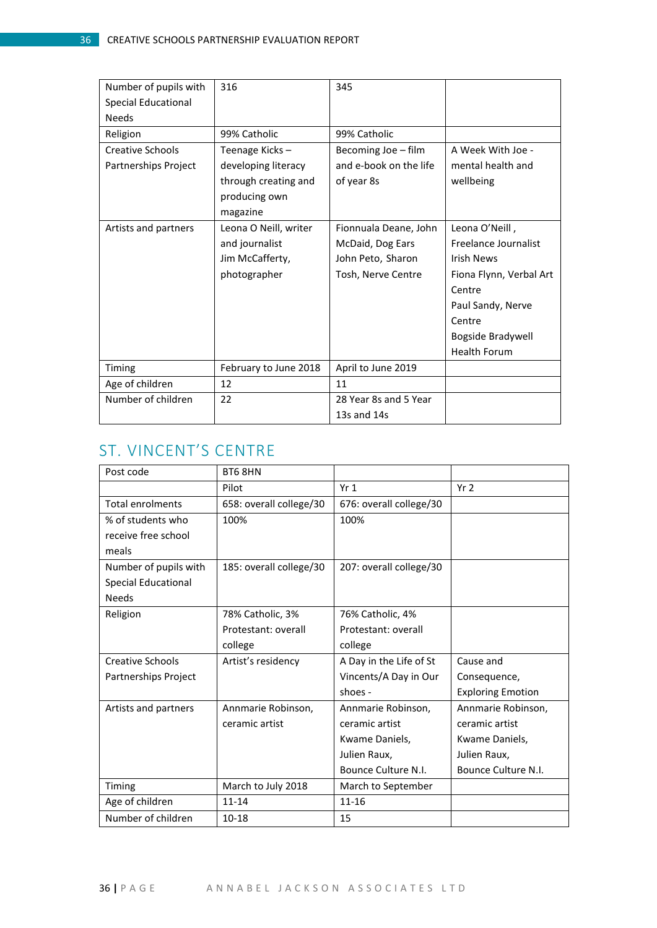| Number of pupils with      | 316                   | 345                    |                         |
|----------------------------|-----------------------|------------------------|-------------------------|
| <b>Special Educational</b> |                       |                        |                         |
| <b>Needs</b>               |                       |                        |                         |
| Religion                   | 99% Catholic          | 99% Catholic           |                         |
| <b>Creative Schools</b>    | Teenage Kicks-        | Becoming Joe - film    | A Week With Joe -       |
| Partnerships Project       | developing literacy   | and e-book on the life | mental health and       |
|                            | through creating and  | of year 8s             | wellbeing               |
|                            | producing own         |                        |                         |
|                            | magazine              |                        |                         |
| Artists and partners       | Leona O Neill, writer | Fionnuala Deane, John  | Leona O'Neill,          |
|                            | and journalist        | McDaid, Dog Ears       | Freelance Journalist    |
|                            | Jim McCafferty,       | John Peto, Sharon      | <b>Irish News</b>       |
|                            | photographer          | Tosh, Nerve Centre     | Fiona Flynn, Verbal Art |
|                            |                       |                        | Centre                  |
|                            |                       |                        | Paul Sandy, Nerve       |
|                            |                       |                        | Centre                  |
|                            |                       |                        | Bogside Bradywell       |
|                            |                       |                        | <b>Health Forum</b>     |
| Timing                     | February to June 2018 | April to June 2019     |                         |
| Age of children            | 12                    | 11                     |                         |
| Number of children         | 22                    | 28 Year 8s and 5 Year  |                         |
|                            |                       | 13s and $14s$          |                         |

# <span id="page-35-0"></span>ST. VINCENT'S CENTRE

| Post code                  | BT6 8HN                 |                         |                          |
|----------------------------|-------------------------|-------------------------|--------------------------|
|                            | Pilot                   | Yr <sub>1</sub>         | Yr <sub>2</sub>          |
| Total enrolments           | 658: overall college/30 | 676: overall college/30 |                          |
| % of students who          | 100%                    | 100%                    |                          |
| receive free school        |                         |                         |                          |
| meals                      |                         |                         |                          |
| Number of pupils with      | 185: overall college/30 | 207: overall college/30 |                          |
| <b>Special Educational</b> |                         |                         |                          |
| <b>Needs</b>               |                         |                         |                          |
| Religion                   | 78% Catholic, 3%        | 76% Catholic, 4%        |                          |
|                            | Protestant: overall     | Protestant: overall     |                          |
|                            | college                 | college                 |                          |
| <b>Creative Schools</b>    | Artist's residency      | A Day in the Life of St | Cause and                |
| Partnerships Project       |                         | Vincents/A Day in Our   | Consequence,             |
|                            |                         | shoes -                 | <b>Exploring Emotion</b> |
| Artists and partners       | Annmarie Robinson,      | Annmarie Robinson,      | Annmarie Robinson,       |
|                            | ceramic artist          | ceramic artist          | ceramic artist           |
|                            |                         | Kwame Daniels,          | Kwame Daniels,           |
|                            |                         | Julien Raux,            | Julien Raux,             |
|                            |                         | Bounce Culture N.I.     | Bounce Culture N.I.      |
| Timing                     | March to July 2018      | March to September      |                          |
| Age of children            | $11 - 14$               | $11 - 16$               |                          |
| Number of children         | $10 - 18$               | 15                      |                          |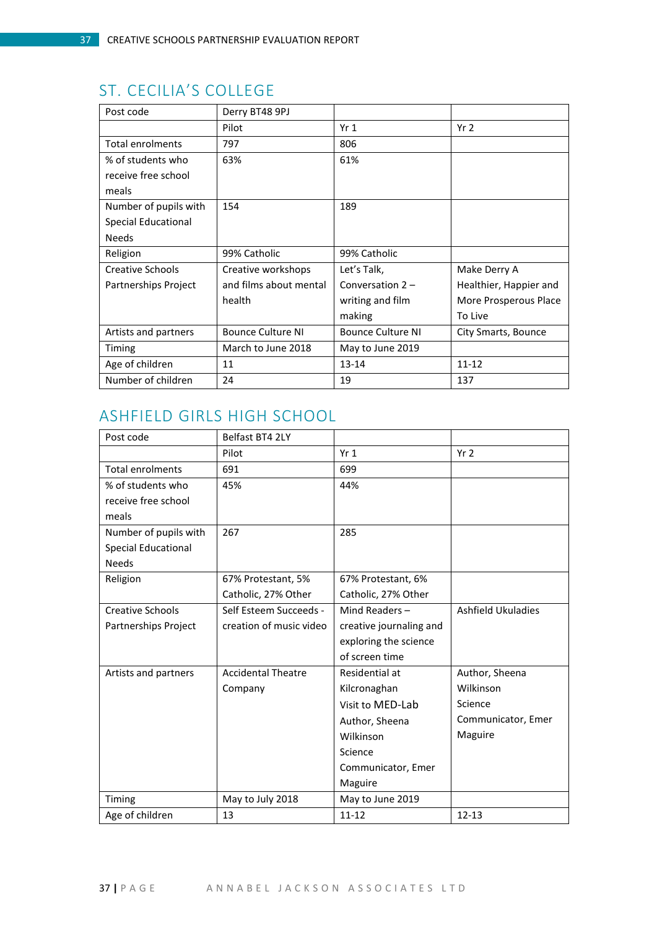# <span id="page-36-0"></span>ST. CECILIA'S COLLEGE

| Post code                  | Derry BT48 9PJ           |                          |                        |
|----------------------------|--------------------------|--------------------------|------------------------|
|                            | Pilot                    | Yr <sub>1</sub>          | Yr <sub>2</sub>        |
| <b>Total enrolments</b>    | 797                      | 806                      |                        |
| % of students who          | 63%                      | 61%                      |                        |
| receive free school        |                          |                          |                        |
| meals                      |                          |                          |                        |
| Number of pupils with      | 154                      | 189                      |                        |
| <b>Special Educational</b> |                          |                          |                        |
| <b>Needs</b>               |                          |                          |                        |
| Religion                   | 99% Catholic             | 99% Catholic             |                        |
| Creative Schools           | Creative workshops       | Let's Talk,              | Make Derry A           |
| Partnerships Project       | and films about mental   | Conversation $2 -$       | Healthier, Happier and |
|                            | health                   | writing and film         | More Prosperous Place  |
|                            |                          | making                   | To Live                |
| Artists and partners       | <b>Bounce Culture NI</b> | <b>Bounce Culture NI</b> | City Smarts, Bounce    |
| Timing                     | March to June 2018       | May to June 2019         |                        |
| Age of children            | 11                       | $13 - 14$                | $11 - 12$              |
| Number of children         | 24                       | 19                       | 137                    |

## <span id="page-36-1"></span>ASHFIELD GIRLS HIGH SCHOOL

| Post code                  | Belfast BT4 2LY           |                         |                    |
|----------------------------|---------------------------|-------------------------|--------------------|
|                            | Pilot                     | Yr <sub>1</sub>         | Yr <sub>2</sub>    |
| <b>Total enrolments</b>    | 691                       | 699                     |                    |
| % of students who          | 45%                       | 44%                     |                    |
| receive free school        |                           |                         |                    |
| meals                      |                           |                         |                    |
| Number of pupils with      | 267                       | 285                     |                    |
| <b>Special Educational</b> |                           |                         |                    |
| <b>Needs</b>               |                           |                         |                    |
| Religion                   | 67% Protestant, 5%        | 67% Protestant, 6%      |                    |
|                            | Catholic, 27% Other       | Catholic, 27% Other     |                    |
| <b>Creative Schools</b>    | Self Esteem Succeeds -    | Mind Readers $-$        | Ashfield Ukuladies |
| Partnerships Project       | creation of music video   | creative journaling and |                    |
|                            |                           | exploring the science   |                    |
|                            |                           | of screen time          |                    |
| Artists and partners       | <b>Accidental Theatre</b> | Residential at          | Author, Sheena     |
|                            | Company                   | Kilcronaghan            | Wilkinson          |
|                            |                           | Visit to MED-Lab        | Science            |
|                            |                           | Author, Sheena          | Communicator, Emer |
|                            |                           | Wilkinson               | Maguire            |
|                            |                           | Science                 |                    |
|                            |                           | Communicator, Emer      |                    |
|                            |                           | Maguire                 |                    |
| Timing                     | May to July 2018          | May to June 2019        |                    |
| Age of children            | 13                        | $11 - 12$               | $12 - 13$          |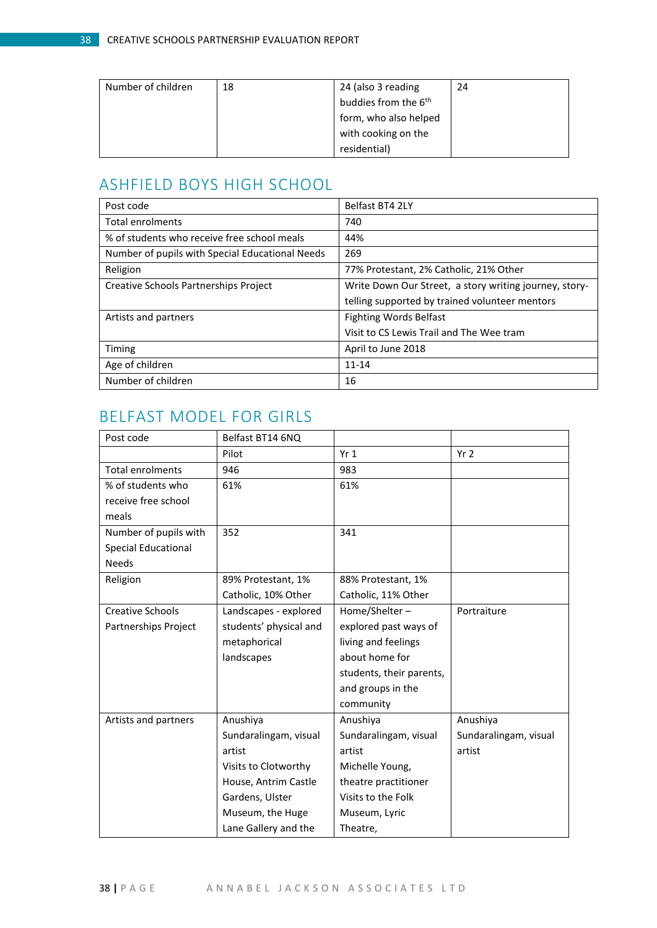| Number of children | 18 | 24 (also 3 reading               | 24 |
|--------------------|----|----------------------------------|----|
|                    |    | buddies from the 6 <sup>th</sup> |    |
|                    |    | form, who also helped            |    |
|                    |    | with cooking on the              |    |
|                    |    | residential)                     |    |

## <span id="page-37-0"></span>ASHFIELD BOYS HIGH SCHOOL

| Post code                                       | Belfast BT4 2LY                                        |
|-------------------------------------------------|--------------------------------------------------------|
| Total enrolments                                | 740                                                    |
| % of students who receive free school meals     | 44%                                                    |
| Number of pupils with Special Educational Needs | 269                                                    |
| Religion                                        | 77% Protestant, 2% Catholic, 21% Other                 |
| <b>Creative Schools Partnerships Project</b>    | Write Down Our Street, a story writing journey, story- |
|                                                 | telling supported by trained volunteer mentors         |
| Artists and partners                            | <b>Fighting Words Belfast</b>                          |
|                                                 | Visit to CS Lewis Trail and The Wee tram               |
| Timing                                          | April to June 2018                                     |
| Age of children                                 | $11 - 14$                                              |
| Number of children                              | 16                                                     |

# <span id="page-37-1"></span>BELFAST MODEL FOR GIRLS

| Post code                  | Belfast BT14 6NQ       |                          |                       |
|----------------------------|------------------------|--------------------------|-----------------------|
|                            | Pilot                  | Yr <sub>1</sub>          | Yr <sub>2</sub>       |
| <b>Total enrolments</b>    | 946                    | 983                      |                       |
| % of students who          | 61%                    | 61%                      |                       |
| receive free school        |                        |                          |                       |
| meals                      |                        |                          |                       |
| Number of pupils with      | 352                    | 341                      |                       |
| <b>Special Educational</b> |                        |                          |                       |
| <b>Needs</b>               |                        |                          |                       |
| Religion                   | 89% Protestant, 1%     | 88% Protestant, 1%       |                       |
|                            | Catholic, 10% Other    | Catholic, 11% Other      |                       |
| <b>Creative Schools</b>    | Landscapes - explored  | Home/Shelter-            | Portraiture           |
| Partnerships Project       | students' physical and | explored past ways of    |                       |
|                            | metaphorical           | living and feelings      |                       |
|                            | landscapes             | about home for           |                       |
|                            |                        | students, their parents, |                       |
|                            |                        | and groups in the        |                       |
|                            |                        | community                |                       |
| Artists and partners       | Anushiya               | Anushiya                 | Anushiya              |
|                            | Sundaralingam, visual  | Sundaralingam, visual    | Sundaralingam, visual |
|                            | artist                 | artist                   | artist                |
|                            | Visits to Clotworthy   | Michelle Young,          |                       |
|                            | House, Antrim Castle   | theatre practitioner     |                       |
|                            | Gardens, Ulster        | Visits to the Folk       |                       |
|                            | Museum, the Huge       | Museum, Lyric            |                       |
|                            | Lane Gallery and the   | Theatre,                 |                       |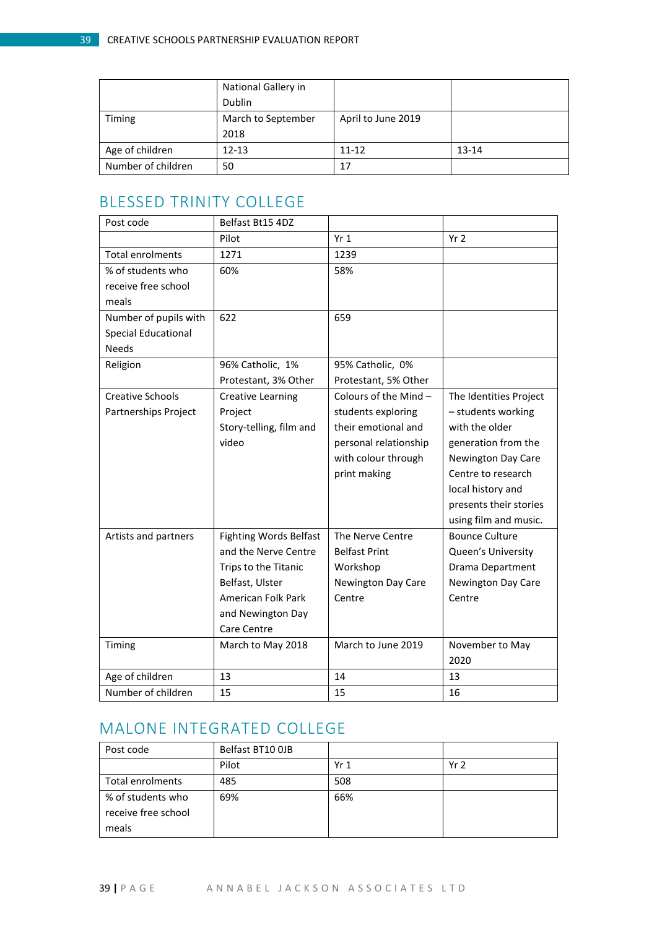|                    | National Gallery in |                    |         |
|--------------------|---------------------|--------------------|---------|
|                    | Dublin              |                    |         |
| Timing             | March to September  | April to June 2019 |         |
|                    | 2018                |                    |         |
| Age of children    | $12 - 13$           | $11 - 12$          | $13-14$ |
| Number of children | 50                  | 17                 |         |

## <span id="page-38-0"></span>BLESSED TRINITY COLLEGE

| Post code                  | Belfast Bt15 4DZ              |                         |                        |
|----------------------------|-------------------------------|-------------------------|------------------------|
|                            |                               |                         |                        |
|                            | Pilot                         | Yr <sub>1</sub>         | Yr <sub>2</sub>        |
| <b>Total enrolments</b>    | 1271                          | 1239                    |                        |
| % of students who          | 60%                           | 58%                     |                        |
| receive free school        |                               |                         |                        |
| meals                      |                               |                         |                        |
| Number of pupils with      | 622                           | 659                     |                        |
| <b>Special Educational</b> |                               |                         |                        |
| <b>Needs</b>               |                               |                         |                        |
| Religion                   | 96% Catholic, 1%              | 95% Catholic, 0%        |                        |
|                            | Protestant, 3% Other          | Protestant, 5% Other    |                        |
| <b>Creative Schools</b>    | <b>Creative Learning</b>      | Colours of the Mind $-$ | The Identities Project |
| Partnerships Project       | Project                       | students exploring      | - students working     |
|                            | Story-telling, film and       | their emotional and     | with the older         |
|                            | video                         | personal relationship   | generation from the    |
|                            |                               | with colour through     | Newington Day Care     |
|                            |                               | print making            | Centre to research     |
|                            |                               |                         | local history and      |
|                            |                               |                         | presents their stories |
|                            |                               |                         | using film and music.  |
| Artists and partners       | <b>Fighting Words Belfast</b> | The Nerve Centre        | <b>Bounce Culture</b>  |
|                            | and the Nerve Centre          | <b>Belfast Print</b>    | Queen's University     |
|                            | Trips to the Titanic          | Workshop                | Drama Department       |
|                            | Belfast, Ulster               | Newington Day Care      | Newington Day Care     |
|                            | American Folk Park            | Centre                  | Centre                 |
|                            | and Newington Day             |                         |                        |
|                            | Care Centre                   |                         |                        |
| Timing                     | March to May 2018             | March to June 2019      | November to May        |
|                            |                               |                         | 2020                   |
| Age of children            | 13                            | 14                      | 13                     |
| Number of children         | 15                            | 15                      | 16                     |

# <span id="page-38-1"></span>MALONE INTEGRATED COLLEGE

| Post code           | Belfast BT10 OJB |      |                 |
|---------------------|------------------|------|-----------------|
|                     | Pilot            | Yr 1 | Yr <sub>2</sub> |
| Total enrolments    | 485              | 508  |                 |
| % of students who   | 69%              | 66%  |                 |
| receive free school |                  |      |                 |
| meals               |                  |      |                 |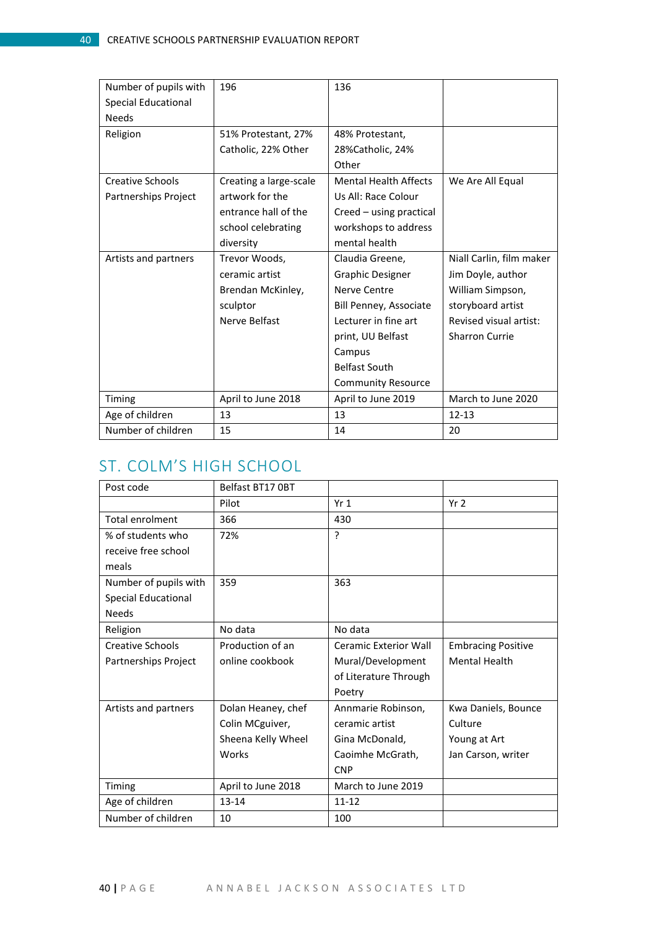| Number of pupils with      | 196                    | 136                          |                          |
|----------------------------|------------------------|------------------------------|--------------------------|
| <b>Special Educational</b> |                        |                              |                          |
| <b>Needs</b>               |                        |                              |                          |
| Religion                   | 51% Protestant, 27%    | 48% Protestant,              |                          |
|                            | Catholic, 22% Other    | 28%Catholic, 24%             |                          |
|                            |                        | Other                        |                          |
| <b>Creative Schools</b>    | Creating a large-scale | <b>Mental Health Affects</b> | We Are All Equal         |
| Partnerships Project       | artwork for the        | Us All: Race Colour          |                          |
|                            | entrance hall of the   | Creed - using practical      |                          |
|                            | school celebrating     | workshops to address         |                          |
|                            | diversity              | mental health                |                          |
| Artists and partners       | Trevor Woods,          | Claudia Greene,              | Niall Carlin, film maker |
|                            | ceramic artist         | <b>Graphic Designer</b>      | Jim Doyle, author        |
|                            | Brendan McKinley,      | Nerve Centre                 | William Simpson,         |
|                            | sculptor               | Bill Penney, Associate       | storyboard artist        |
|                            | Nerve Belfast          | Lecturer in fine art         | Revised visual artist:   |
|                            |                        | print, UU Belfast            | <b>Sharron Currie</b>    |
|                            |                        | Campus                       |                          |
|                            |                        | <b>Belfast South</b>         |                          |
|                            |                        | <b>Community Resource</b>    |                          |
| Timing                     | April to June 2018     | April to June 2019           | March to June 2020       |
| Age of children            | 13                     | 13                           | $12 - 13$                |
| Number of children         | 15                     | 14                           | 20                       |

## <span id="page-39-0"></span>ST. COLM'S HIGH SCHOOL

| Post code                  | Belfast BT17 OBT   |                       |                           |
|----------------------------|--------------------|-----------------------|---------------------------|
|                            | Pilot              | Yr <sub>1</sub>       | Yr <sub>2</sub>           |
| <b>Total enrolment</b>     | 366                | 430                   |                           |
| % of students who          | 72%                | $\overline{?}$        |                           |
| receive free school        |                    |                       |                           |
| meals                      |                    |                       |                           |
| Number of pupils with      | 359                | 363                   |                           |
| <b>Special Educational</b> |                    |                       |                           |
| <b>Needs</b>               |                    |                       |                           |
| Religion                   | No data            | No data               |                           |
| <b>Creative Schools</b>    | Production of an   | Ceramic Exterior Wall | <b>Embracing Positive</b> |
| Partnerships Project       | online cookbook    | Mural/Development     | <b>Mental Health</b>      |
|                            |                    | of Literature Through |                           |
|                            |                    | Poetry                |                           |
| Artists and partners       | Dolan Heaney, chef | Annmarie Robinson,    | Kwa Daniels, Bounce       |
|                            | Colin MCguiver,    | ceramic artist        | Culture                   |
|                            | Sheena Kelly Wheel | Gina McDonald,        | Young at Art              |
|                            | Works              | Caoimhe McGrath,      | Jan Carson, writer        |
|                            |                    | <b>CNP</b>            |                           |
| Timing                     | April to June 2018 | March to June 2019    |                           |
| Age of children            | $13 - 14$          | $11 - 12$             |                           |
| Number of children         | 10                 | 100                   |                           |

40 | P A G E A N N A B E L J A C K S O N A S S O C I A T E S L T D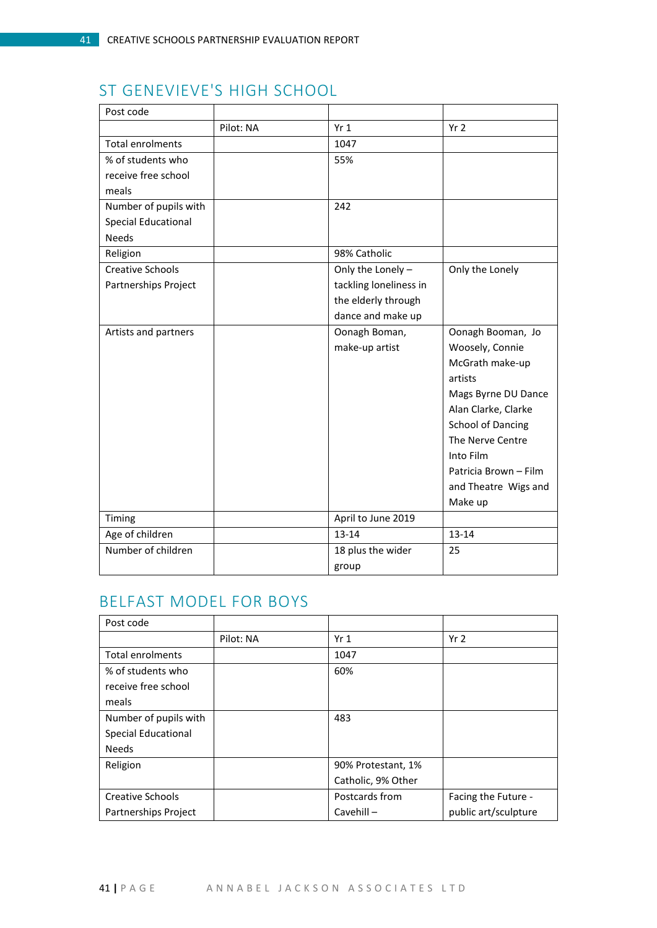# <span id="page-40-0"></span>ST GENEVIEVE'S HIGH SCHOOL

| Post code                  |           |                        |                          |
|----------------------------|-----------|------------------------|--------------------------|
|                            | Pilot: NA | Yr1                    | Yr <sub>2</sub>          |
| <b>Total enrolments</b>    |           | 1047                   |                          |
| % of students who          |           | 55%                    |                          |
| receive free school        |           |                        |                          |
| meals                      |           |                        |                          |
| Number of pupils with      |           | 242                    |                          |
| <b>Special Educational</b> |           |                        |                          |
| <b>Needs</b>               |           |                        |                          |
| Religion                   |           | 98% Catholic           |                          |
| <b>Creative Schools</b>    |           | Only the Lonely-       | Only the Lonely          |
| Partnerships Project       |           | tackling loneliness in |                          |
|                            |           | the elderly through    |                          |
|                            |           | dance and make up      |                          |
| Artists and partners       |           | Oonagh Boman,          | Oonagh Booman, Jo        |
|                            |           | make-up artist         | Woosely, Connie          |
|                            |           |                        | McGrath make-up          |
|                            |           |                        | artists                  |
|                            |           |                        | Mags Byrne DU Dance      |
|                            |           |                        | Alan Clarke, Clarke      |
|                            |           |                        | <b>School of Dancing</b> |
|                            |           |                        | The Nerve Centre         |
|                            |           |                        | Into Film                |
|                            |           |                        | Patricia Brown - Film    |
|                            |           |                        | and Theatre Wigs and     |
|                            |           |                        | Make up                  |
| Timing                     |           | April to June 2019     |                          |
| Age of children            |           | $13 - 14$              | 13-14                    |
| Number of children         |           | 18 plus the wider      | 25                       |
|                            |           | group                  |                          |

# <span id="page-40-1"></span>BELFAST MODEL FOR BOYS

| Post code                   |           |                    |                      |
|-----------------------------|-----------|--------------------|----------------------|
|                             | Pilot: NA | Yr1                | Yr <sub>2</sub>      |
| <b>Total enrolments</b>     |           | 1047               |                      |
| % of students who           |           | 60%                |                      |
| receive free school         |           |                    |                      |
| meals                       |           |                    |                      |
| Number of pupils with       |           | 483                |                      |
| Special Educational         |           |                    |                      |
| <b>Needs</b>                |           |                    |                      |
| Religion                    |           | 90% Protestant, 1% |                      |
|                             |           | Catholic, 9% Other |                      |
| Creative Schools            |           | Postcards from     | Facing the Future -  |
| <b>Partnerships Project</b> |           | Cavehill $-$       | public art/sculpture |